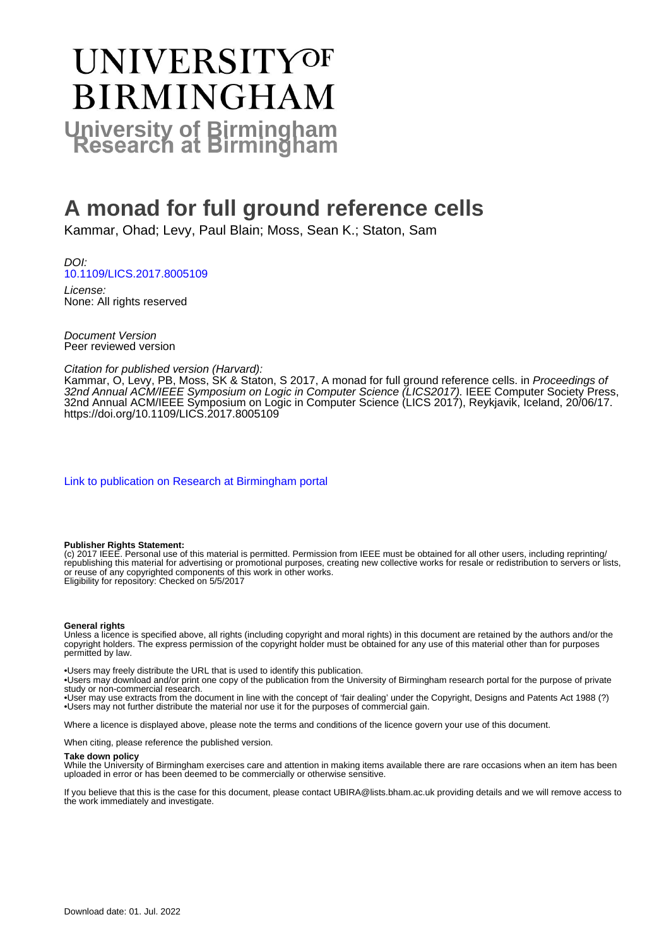# UNIVERSITYOF **BIRMINGHAM University of Birmingham**

# **A monad for full ground reference cells**

Kammar, Ohad; Levy, Paul Blain; Moss, Sean K.; Staton, Sam

DOI: [10.1109/LICS.2017.8005109](https://doi.org/10.1109/LICS.2017.8005109)

License: None: All rights reserved

Document Version Peer reviewed version

Citation for published version (Harvard):

Kammar, O, Levy, PB, Moss, SK & Staton, S 2017, A monad for full ground reference cells. in *Proceedings of* 32nd Annual ACM/IEEE Symposium on Logic in Computer Science (LICS2017). IEEE Computer Society Press, 32nd Annual ACM/IEEE Symposium on Logic in Computer Science (LICS 2017), Reykjavik, Iceland, 20/06/17. <https://doi.org/10.1109/LICS.2017.8005109>

[Link to publication on Research at Birmingham portal](https://birmingham.elsevierpure.com/en/publications/a3ebe16a-62b4-489e-b55d-6c38635dd17a)

### **Publisher Rights Statement:**

(c) 2017 IEEE. Personal use of this material is permitted. Permission from IEEE must be obtained for all other users, including reprinting/ republishing this material for advertising or promotional purposes, creating new collective works for resale or redistribution to servers or lists, or reuse of any copyrighted components of this work in other works. Eligibility for repository: Checked on 5/5/2017

#### **General rights**

Unless a licence is specified above, all rights (including copyright and moral rights) in this document are retained by the authors and/or the copyright holders. The express permission of the copyright holder must be obtained for any use of this material other than for purposes permitted by law.

• Users may freely distribute the URL that is used to identify this publication.

• Users may download and/or print one copy of the publication from the University of Birmingham research portal for the purpose of private study or non-commercial research.

• User may use extracts from the document in line with the concept of 'fair dealing' under the Copyright, Designs and Patents Act 1988 (?) • Users may not further distribute the material nor use it for the purposes of commercial gain.

Where a licence is displayed above, please note the terms and conditions of the licence govern your use of this document.

When citing, please reference the published version.

#### **Take down policy**

While the University of Birmingham exercises care and attention in making items available there are rare occasions when an item has been uploaded in error or has been deemed to be commercially or otherwise sensitive.

If you believe that this is the case for this document, please contact UBIRA@lists.bham.ac.uk providing details and we will remove access to the work immediately and investigate.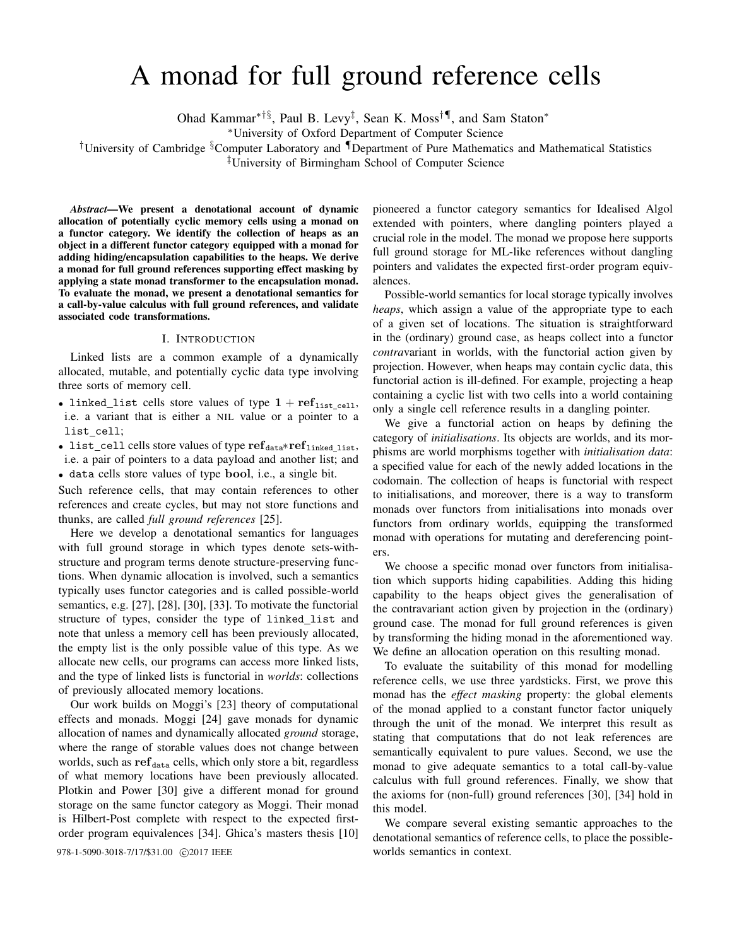# A monad for full ground reference cells

Ohad Kammar<sup>∗†§</sup>, Paul B. Levy<sup>‡</sup>, Sean K. Moss<sup>†¶</sup>, and Sam Staton<sup>∗</sup>

<sup>∗</sup>University of Oxford Department of Computer Science

†University of Cambridge §Computer Laboratory and ¶Department of Pure Mathematics and Mathematical Statistics

‡University of Birmingham School of Computer Science

*Abstract*—We present a denotational account of dynamic allocation of potentially cyclic memory cells using a monad on a functor category. We identify the collection of heaps as an object in a different functor category equipped with a monad for adding hiding/encapsulation capabilities to the heaps. We derive a monad for full ground references supporting effect masking by applying a state monad transformer to the encapsulation monad. To evaluate the monad, we present a denotational semantics for a call-by-value calculus with full ground references, and validate associated code transformations.

#### I. INTRODUCTION

Linked lists are a common example of a dynamically allocated, mutable, and potentially cyclic data type involving three sorts of memory cell.

- linked\_list cells store values of type  $1 + \text{ref}_{\text{list\_cell}}$ , i.e. a variant that is either a NIL value or a pointer to a list cell;
- list\_cell cells store values of type ref<sub>data</sub>\*ref<sub>linked list</sub>, i.e. a pair of pointers to a data payload and another list; and
- data cells store values of type bool, i.e., a single bit.

Such reference cells, that may contain references to other references and create cycles, but may not store functions and thunks, are called *full ground references* [25].

Here we develop a denotational semantics for languages with full ground storage in which types denote sets-withstructure and program terms denote structure-preserving functions. When dynamic allocation is involved, such a semantics typically uses functor categories and is called possible-world semantics, e.g. [27], [28], [30], [33]. To motivate the functorial structure of types, consider the type of linked list and note that unless a memory cell has been previously allocated, the empty list is the only possible value of this type. As we allocate new cells, our programs can access more linked lists, and the type of linked lists is functorial in *worlds*: collections of previously allocated memory locations.

Our work builds on Moggi's [23] theory of computational effects and monads. Moggi [24] gave monads for dynamic allocation of names and dynamically allocated *ground* storage, where the range of storable values does not change between worlds, such as  $ref_{data}$  cells, which only store a bit, regardless of what memory locations have been previously allocated. Plotkin and Power [30] give a different monad for ground storage on the same functor category as Moggi. Their monad is Hilbert-Post complete with respect to the expected firstorder program equivalences [34]. Ghica's masters thesis [10]

pioneered a functor category semantics for Idealised Algol extended with pointers, where dangling pointers played a crucial role in the model. The monad we propose here supports full ground storage for ML-like references without dangling pointers and validates the expected first-order program equivalences.

Possible-world semantics for local storage typically involves *heaps*, which assign a value of the appropriate type to each of a given set of locations. The situation is straightforward in the (ordinary) ground case, as heaps collect into a functor *contra*variant in worlds, with the functorial action given by projection. However, when heaps may contain cyclic data, this functorial action is ill-defined. For example, projecting a heap containing a cyclic list with two cells into a world containing only a single cell reference results in a dangling pointer.

We give a functorial action on heaps by defining the category of *initialisations*. Its objects are worlds, and its morphisms are world morphisms together with *initialisation data*: a specified value for each of the newly added locations in the codomain. The collection of heaps is functorial with respect to initialisations, and moreover, there is a way to transform monads over functors from initialisations into monads over functors from ordinary worlds, equipping the transformed monad with operations for mutating and dereferencing pointers.

We choose a specific monad over functors from initialisation which supports hiding capabilities. Adding this hiding capability to the heaps object gives the generalisation of the contravariant action given by projection in the (ordinary) ground case. The monad for full ground references is given by transforming the hiding monad in the aforementioned way. We define an allocation operation on this resulting monad.

To evaluate the suitability of this monad for modelling reference cells, we use three yardsticks. First, we prove this monad has the *effect masking* property: the global elements of the monad applied to a constant functor factor uniquely through the unit of the monad. We interpret this result as stating that computations that do not leak references are semantically equivalent to pure values. Second, we use the monad to give adequate semantics to a total call-by-value calculus with full ground references. Finally, we show that the axioms for (non-full) ground references [30], [34] hold in this model.

We compare several existing semantic approaches to the denotational semantics of reference cells, to place the possible-978-1-5090-3018-7/17/\$31.00  $\odot$  2017 IEEE worlds semantics in context.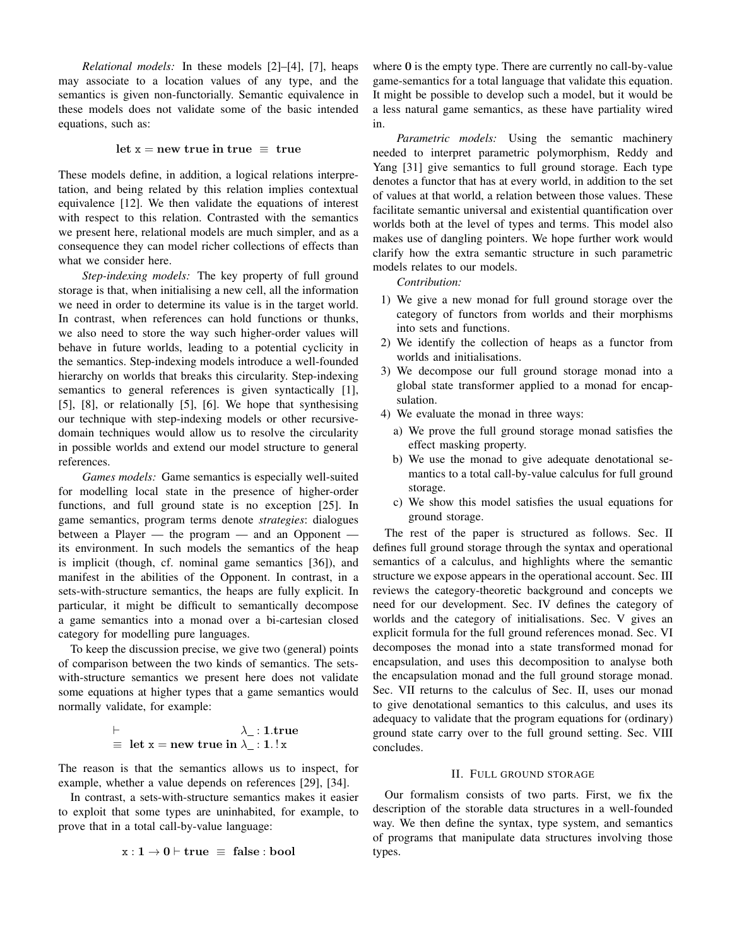*Relational models:* In these models [2]–[4], [7], heaps may associate to a location values of any type, and the semantics is given non-functorially. Semantic equivalence in these models does not validate some of the basic intended equations, such as:

### let  $x = new true in true \equiv true$

These models define, in addition, a logical relations interpretation, and being related by this relation implies contextual equivalence [12]. We then validate the equations of interest with respect to this relation. Contrasted with the semantics we present here, relational models are much simpler, and as a consequence they can model richer collections of effects than what we consider here.

*Step-indexing models:* The key property of full ground storage is that, when initialising a new cell, all the information we need in order to determine its value is in the target world. In contrast, when references can hold functions or thunks, we also need to store the way such higher-order values will behave in future worlds, leading to a potential cyclicity in the semantics. Step-indexing models introduce a well-founded hierarchy on worlds that breaks this circularity. Step-indexing semantics to general references is given syntactically [1], [5], [8], or relationally [5], [6]. We hope that synthesising our technique with step-indexing models or other recursivedomain techniques would allow us to resolve the circularity in possible worlds and extend our model structure to general references.

*Games models:* Game semantics is especially well-suited for modelling local state in the presence of higher-order functions, and full ground state is no exception [25]. In game semantics, program terms denote *strategies*: dialogues between a Player — the program — and an Opponent its environment. In such models the semantics of the heap is implicit (though, cf. nominal game semantics [36]), and manifest in the abilities of the Opponent. In contrast, in a sets-with-structure semantics, the heaps are fully explicit. In particular, it might be difficult to semantically decompose a game semantics into a monad over a bi-cartesian closed category for modelling pure languages.

To keep the discussion precise, we give two (general) points of comparison between the two kinds of semantics. The setswith-structure semantics we present here does not validate some equations at higher types that a game semantics would normally validate, for example:

$$
\vdash
$$
  
\n
$$
\equiv \text{ let } x = \text{new true in } \lambda_{\perp}: 1.\text{true}
$$

The reason is that the semantics allows us to inspect, for example, whether a value depends on references [29], [34].

In contrast, a sets-with-structure semantics makes it easier to exploit that some types are uninhabited, for example, to prove that in a total call-by-value language:

$$
x:1\to 0\vdash true\ \equiv\ false:bool
$$

where 0 is the empty type. There are currently no call-by-value game-semantics for a total language that validate this equation. It might be possible to develop such a model, but it would be a less natural game semantics, as these have partiality wired in.

*Parametric models:* Using the semantic machinery needed to interpret parametric polymorphism, Reddy and Yang [31] give semantics to full ground storage. Each type denotes a functor that has at every world, in addition to the set of values at that world, a relation between those values. These facilitate semantic universal and existential quantification over worlds both at the level of types and terms. This model also makes use of dangling pointers. We hope further work would clarify how the extra semantic structure in such parametric models relates to our models.

*Contribution:*

- 1) We give a new monad for full ground storage over the category of functors from worlds and their morphisms into sets and functions.
- 2) We identify the collection of heaps as a functor from worlds and initialisations.
- 3) We decompose our full ground storage monad into a global state transformer applied to a monad for encapsulation.
- 4) We evaluate the monad in three ways:
	- a) We prove the full ground storage monad satisfies the effect masking property.
	- b) We use the monad to give adequate denotational semantics to a total call-by-value calculus for full ground storage.
	- c) We show this model satisfies the usual equations for ground storage.

The rest of the paper is structured as follows. Sec. II defines full ground storage through the syntax and operational semantics of a calculus, and highlights where the semantic structure we expose appears in the operational account. Sec. III reviews the category-theoretic background and concepts we need for our development. Sec. IV defines the category of worlds and the category of initialisations. Sec. V gives an explicit formula for the full ground references monad. Sec. VI decomposes the monad into a state transformed monad for encapsulation, and uses this decomposition to analyse both the encapsulation monad and the full ground storage monad. Sec. VII returns to the calculus of Sec. II, uses our monad to give denotational semantics to this calculus, and uses its adequacy to validate that the program equations for (ordinary) ground state carry over to the full ground setting. Sec. VIII concludes.

### II. FULL GROUND STORAGE

Our formalism consists of two parts. First, we fix the description of the storable data structures in a well-founded way. We then define the syntax, type system, and semantics of programs that manipulate data structures involving those types.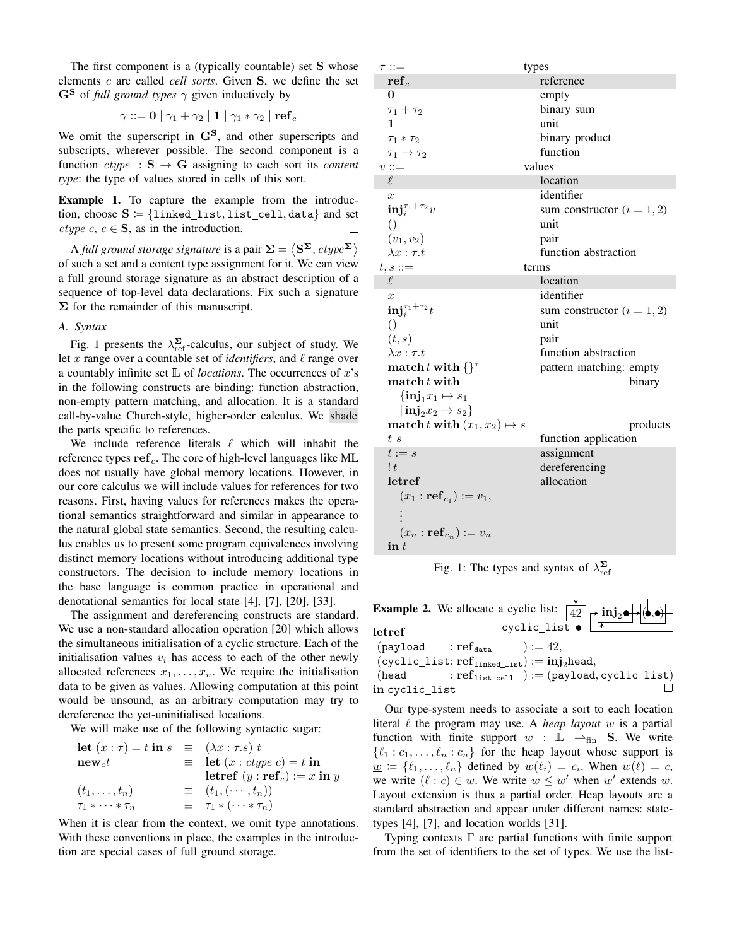The first component is a (typically countable) set S whose elements c are called *cell sorts*. Given S, we define the set  $G^S$  of *full ground types*  $\gamma$  given inductively by

$$
\gamma ::= \mathbf{0} \mid \gamma_1 + \gamma_2 \mid \mathbf{1} \mid \gamma_1 * \gamma_2 \mid \mathbf{ref}_c
$$

We omit the superscript in  $\mathbf{G^S}$ , and other superscripts and subscripts, wherever possible. The second component is a function  $ctype$  :  $S \rightarrow G$  assigning to each sort its *content type*: the type of values stored in cells of this sort.

**Example 1.** To capture the example from the introduction, choose  $S = \{linked\_list, list\_cell, data\}$  and set ctype c,  $c \in \mathbf{S}$ , as in the introduction.  $\Box$ 

A full ground storage signature is a pair  $\mathbf{\Sigma} = \langle \mathbf{S}^{\mathbf{\Sigma}}, \textit{ctype}^{\mathbf{\Sigma}} \rangle$ of such a set and a content type assignment for it. We can view a full ground storage signature as an abstract description of a sequence of top-level data declarations. Fix such a signature  $\Sigma$  for the remainder of this manuscript.

#### *A. Syntax*

Fig. 1 presents the  $\lambda_{\text{ref}}^{\Sigma}$ -calculus, our subject of study. We let x range over a countable set of *identifiers*, and  $\ell$  range over a countably infinite set  $\mathbb L$  of *locations*. The occurrences of  $x$ 's in the following constructs are binding: function abstraction, non-empty pattern matching, and allocation. It is a standard call-by-value Church-style, higher-order calculus. We shade the parts specific to references.

We include reference literals  $\ell$  which will inhabit the reference types  $ref_c$ . The core of high-level languages like ML does not usually have global memory locations. However, in our core calculus we will include values for references for two reasons. First, having values for references makes the operational semantics straightforward and similar in appearance to the natural global state semantics. Second, the resulting calculus enables us to present some program equivalences involving distinct memory locations without introducing additional type constructors. The decision to include memory locations in the base language is common practice in operational and denotational semantics for local state [4], [7], [20], [33].

The assignment and dereferencing constructs are standard. We use a non-standard allocation operation [20] which allows the simultaneous initialisation of a cyclic structure. Each of the initialisation values  $v_i$  has access to each of the other newly allocated references  $x_1, \ldots, x_n$ . We require the initialisation data to be given as values. Allowing computation at this point would be unsound, as an arbitrary computation may try to dereference the yet-uninitialised locations.

We will make use of the following syntactic sugar:

| <b>let</b> $(x:\tau) = t$ in $s \equiv (\lambda x:\tau.s) t$ |                                             |
|--------------------------------------------------------------|---------------------------------------------|
| $new_c t$                                                    | $\equiv$ let $(x : \text{ctype } c) = t$ in |
|                                                              | letref $(y : ref_c) := x$ in y              |
| $(t_1,\ldots,t_n)$                                           | $\equiv$ $(t_1, (\cdots, t_n))$             |
| $\tau_1 * \cdots * \tau_n$                                   | $\equiv \tau_1 * (\cdots * \tau_n)$         |

When it is clear from the context, we omit type annotations. With these conventions in place, the examples in the introduction are special cases of full ground storage.

| $\tau ::=$                                         | types                        |
|----------------------------------------------------|------------------------------|
| $ref_c$                                            | reference                    |
| 0                                                  | empty                        |
| $\tau_1+\tau_2$                                    | binary sum                   |
| 1                                                  | unit                         |
| $\tau_1 * \tau_2$                                  | binary product               |
| $\tau_1 \rightarrow \tau_2$                        | function                     |
| $v ::=$                                            | values                       |
| $\ell$                                             | location                     |
| $\boldsymbol{x}$                                   | identifier                   |
| $\textbf{inj}_{i}^{\tau_1+\tau_2}v$                | sum constructor $(i = 1, 2)$ |
| $\left( \right)$                                   | unit                         |
| $(v_1, v_2)$                                       | pair                         |
| $\lambda x : \tau.t$                               | function abstraction         |
| $t,s ::=$                                          | terms                        |
| $\ell$                                             | location                     |
| $\boldsymbol{x}$                                   | identifier                   |
| $\textbf{inj}_{i}^{\tau_1+\tau_2}t$                | sum constructor $(i = 1, 2)$ |
| $\left(\right)$                                    | unit                         |
| (t,s)                                              | pair                         |
| $\lambda x : \tau.t$                               | function abstraction         |
| match t with $\{\}^{\tau}$                         | pattern matching: empty      |
| $\mathbf{match} t$ with                            | binary                       |
| $\{\mathbf{inj}_1x_1 \mapsto s_1$                  |                              |
| $\vert \, \textbf{inj}_{2} x_{2} \mapsto s_{2} \}$ |                              |
| match t with $(x_1, x_2) \mapsto s$                | products                     |
| t s                                                | function application         |
| $t := s$                                           | assignment                   |
| !t                                                 | dereferencing                |
| letref                                             | allocation                   |
| $(x_1 : \mathbf{ref}_{c_1}) := v_1,$               |                              |
|                                                    |                              |
| $(x_n : \mathbf{ref}_{c_n}) := v_n$                |                              |
| $\mathbf{in} t$                                    |                              |

Fig. 1: The types and syntax of  $\lambda_{ref}^{\Sigma}$ 

|                                                          | <b>Example 2.</b> We allocate a cyclic list: $\boxed{42}$ $\rightarrow \boxed{\text{inj}_2 \bullet}$ |
|----------------------------------------------------------|------------------------------------------------------------------------------------------------------|
| letref                                                   | cyclic_list $\bullet \rightarrow$                                                                    |
| $(\texttt{payload} \qquad : \mathbf{ref}_\mathsf{data})$ | $):=42,$                                                                                             |
|                                                          | $(cyclic\_list: ref_{\text{linked\_list}}) := inj_2$ head,                                           |
| (head                                                    | $\mathbf{r} \cdot \mathbf{r} \cdot \mathbf{f}_{\text{list\_cell}}$ ) := (payload, cyclic_list)       |
| in cyclic_list                                           |                                                                                                      |

Our type-system needs to associate a sort to each location literal  $\ell$  the program may use. A *heap layout* w is a partial function with finite support  $w : \mathbb{L} \longrightarrow_{fin} S$ . We write  $\{\ell_1 : c_1, \ldots, \ell_n : c_n\}$  for the heap layout whose support is  $\underline{w} := \{\ell_1, \ldots, \ell_n\}$  defined by  $w(\ell_i) = c_i$ . When  $w(\ell) = c$ , we write  $(\ell : c) \in w$ . We write  $w \leq w'$  when w' extends w. Layout extension is thus a partial order. Heap layouts are a standard abstraction and appear under different names: statetypes [4], [7], and location worlds [31].

Typing contexts  $\Gamma$  are partial functions with finite support from the set of identifiers to the set of types. We use the list-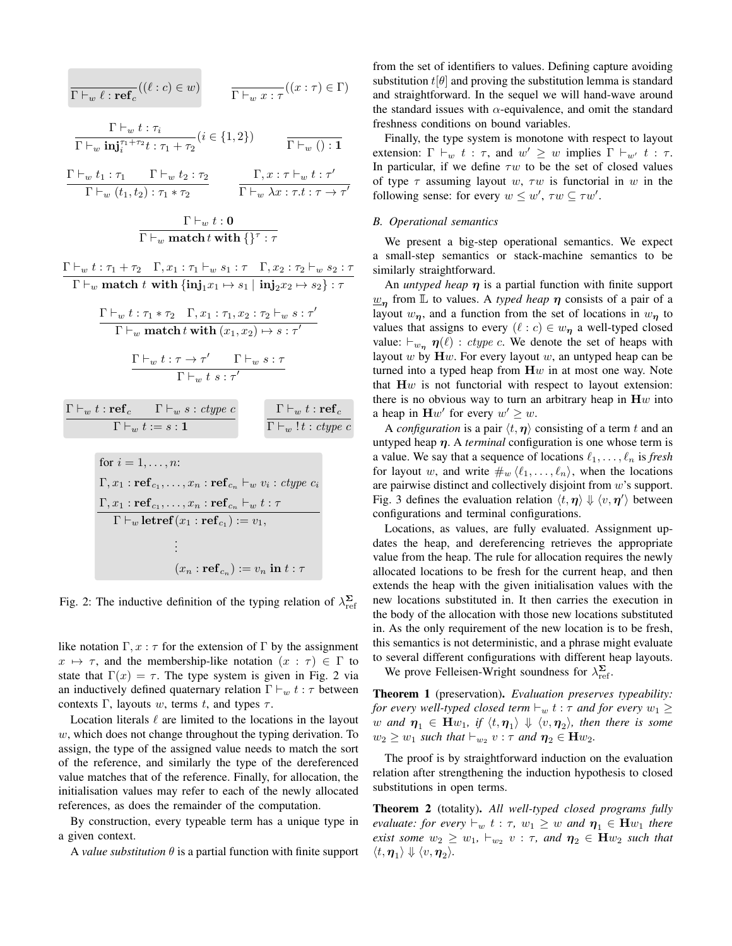$$
\frac{\Gamma\vdash_w \ell : \text{ref}_c((\ell:c)\in w)}{\Gamma\vdash_w \text{inj}_i^{\tau_1+\tau_2}t : \tau_1+\tau_2}(i\in\{1,2\}) \qquad \frac{\Gamma\vdash_w t : \tau_i}{\Gamma\vdash_w \text{inj}_i^{\tau_1+\tau_2}t : \tau_1+\tau_2}(i\in\{1,2\}) \qquad \frac{\Gamma\vdash_w t : \tau'}{\Gamma\vdash_w (t_1,t_2) : \tau_1*\tau_2} \qquad \frac{\Gamma,x : \tau\vdash_w t : \tau'}{\Gamma\vdash_w \lambda x : \tau.t : \tau\to\tau'}
$$
\n
$$
\frac{\Gamma\vdash_w t : 0}{\Gamma\vdash_w \text{match }t \text{ with }\{\}^{\tau}: \tau}
$$
\n
$$
\frac{\Gamma\vdash_w t : 0}{\Gamma\vdash_w \text{match }t \text{ with }\{\text{inj}_1x_1\mapsto s_1\mid\text{inj}_2x_2\mapsto s_2\}} : \tau
$$
\n
$$
\frac{\Gamma\vdash_w t : \tau_1*\tau_2 \quad \Gamma, x_1 : \tau_1,\tau_2 : \tau_2\vdash_w s : \tau'}{\Gamma\vdash_w \text{match }t \text{ with }\{(\text{inj}_1x_1\mapsto s_1\mid\text{inj}_2x_2\mapsto s : \tau' \}}}
$$
\n
$$
\frac{\Gamma\vdash_w t : \tau_1*\tau_2 \quad \Gamma, x_1 : \tau_1, x_2 : \tau_2\vdash_w s : \tau'}{\Gamma\vdash_w t s : \tau'}
$$
\n
$$
\frac{\Gamma\vdash_w t : \tau\to\tau' \qquad \Gamma\vdash_w s : \tau}{\Gamma\vdash_w t s : \tau'}
$$
\n
$$
\frac{\Gamma\vdash_w t : \text{ref}_c \qquad \Gamma\vdash_w s : \text{type } c}{\Gamma\vdash_w t : \text{ref}_{c_1}, \dots, x_n : \text{ref}_{c_n}\vdash_w v_i : \text{type } c_i}
$$
\n
$$
\text{for } i = 1, \dots, n:
$$
\n
$$
\Gamma, x_1 : \text{ref}_{c_1}, \dots, x_n : \text{ref}_{c_n}\vdash_w t : \tau
$$
\n
$$
\frac{\Gamma, x_1 : \text{ref}_{c_1}, \dots, x_n
$$

Fig. 2: The inductive definition of the typing relation of  $\lambda_{ref}^{\Sigma}$ 

like notation  $\Gamma, x : \tau$  for the extension of  $\Gamma$  by the assignment  $x \mapsto \tau$ , and the membership-like notation  $(x : \tau) \in \Gamma$  to state that  $\Gamma(x) = \tau$ . The type system is given in Fig. 2 via an inductively defined quaternary relation  $\Gamma \vdash_w t : \tau$  between contexts Γ, layouts w, terms t, and types  $\tau$ .

Location literals  $\ell$  are limited to the locations in the layout  $w$ , which does not change throughout the typing derivation. To assign, the type of the assigned value needs to match the sort of the reference, and similarly the type of the dereferenced value matches that of the reference. Finally, for allocation, the initialisation values may refer to each of the newly allocated references, as does the remainder of the computation.

By construction, every typeable term has a unique type in a given context.

A *value substitution*  $\theta$  is a partial function with finite support

from the set of identifiers to values. Defining capture avoiding substitution  $t[\theta]$  and proving the substitution lemma is standard and straightforward. In the sequel we will hand-wave around the standard issues with  $\alpha$ -equivalence, and omit the standard freshness conditions on bound variables.

Finally, the type system is monotone with respect to layout extension:  $\Gamma \vdash_w t : \tau$ , and  $w' \geq w$  implies  $\Gamma \vdash_{w'} t : \tau$ . In particular, if we define  $\tau w$  to be the set of closed values of type  $\tau$  assuming layout w,  $\tau w$  is functorial in w in the following sense: for every  $w \leq w'$ ,  $\tau w \subseteq \tau w'$ .

# *B. Operational semantics*

We present a big-step operational semantics. We expect a small-step semantics or stack-machine semantics to be similarly straightforward.

An *untyped heap*  $\eta$  is a partial function with finite support  $\underline{w}_{\eta}$  from  $\overline{\mathbb{L}}$  to values. A *typed heap*  $\eta$  consists of a pair of a layout  $w_n$ , and a function from the set of locations in  $w_n$  to values that assigns to every  $(\ell : c) \in w_{\eta}$  a well-typed closed value:  $\vdash_{w_n} \eta(\ell)$  : *ctype c*. We denote the set of heaps with layout  $w$  by  $\mathbf{H}w$ . For every layout  $w$ , an untyped heap can be turned into a typed heap from  $\mathbf{H}w$  in at most one way. Note that  $\mathbf{H}w$  is not functorial with respect to layout extension: there is no obvious way to turn an arbitrary heap in  $\mathbf{H}w$  into a heap in  $\mathbf{H}w'$  for every  $w' \geq w$ .

A *configuration* is a pair  $\langle t, \eta \rangle$  consisting of a term t and an untyped heap  $\eta$ . A *terminal* configuration is one whose term is a value. We say that a sequence of locations  $\ell_1, \ldots, \ell_n$  is *fresh* for layout w, and write  $\#_w \langle \ell_1, \ldots, \ell_n \rangle$ , when the locations are pairwise distinct and collectively disjoint from  $w$ 's support. Fig. 3 defines the evaluation relation  $\langle t, \eta \rangle \Downarrow \langle v, \eta' \rangle$  between configurations and terminal configurations.

Locations, as values, are fully evaluated. Assignment updates the heap, and dereferencing retrieves the appropriate value from the heap. The rule for allocation requires the newly allocated locations to be fresh for the current heap, and then extends the heap with the given initialisation values with the new locations substituted in. It then carries the execution in the body of the allocation with those new locations substituted in. As the only requirement of the new location is to be fresh, this semantics is not deterministic, and a phrase might evaluate to several different configurations with different heap layouts. We prove Felleisen-Wright soundness for  $\lambda_{\text{ref}}^{\Sigma}$ .

Theorem 1 (preservation). *Evaluation preserves typeability: for every well-typed closed term*  $\vdash_w t : \tau$  *and for every*  $w_1 \geq$  $w$  and  $\boldsymbol \eta_1 \, \in \, \mathbf{H} w_1, \, \, \textit{if} \, \, \langle t, \boldsymbol \eta_1 \rangle \, \Downarrow \, \langle v, \boldsymbol \eta_2 \rangle, \,$  then there is some

 $w_2 \geq w_1$  *such that*  $\vdash_{w_2} v : \tau$  *and*  $\eta_2 \in \mathbf{H} w_2$ *.* 

The proof is by straightforward induction on the evaluation relation after strengthening the induction hypothesis to closed substitutions in open terms.

Theorem 2 (totality). *All well-typed closed programs fully evaluate: for every*  $\vdash_w t : \tau$ ,  $w_1 \geq w$  *and*  $\eta_1 \in \mathbf{H}w_1$  *there exist some*  $w_2 \geq w_1$ ,  $\vdash_{w_2} v : \tau$ , and  $\eta_2 \in \mathbf{H} w_2$  *such that*  $\langle t, \boldsymbol{\eta}_1 \rangle \Downarrow \langle v, \boldsymbol{\eta}_2 \rangle.$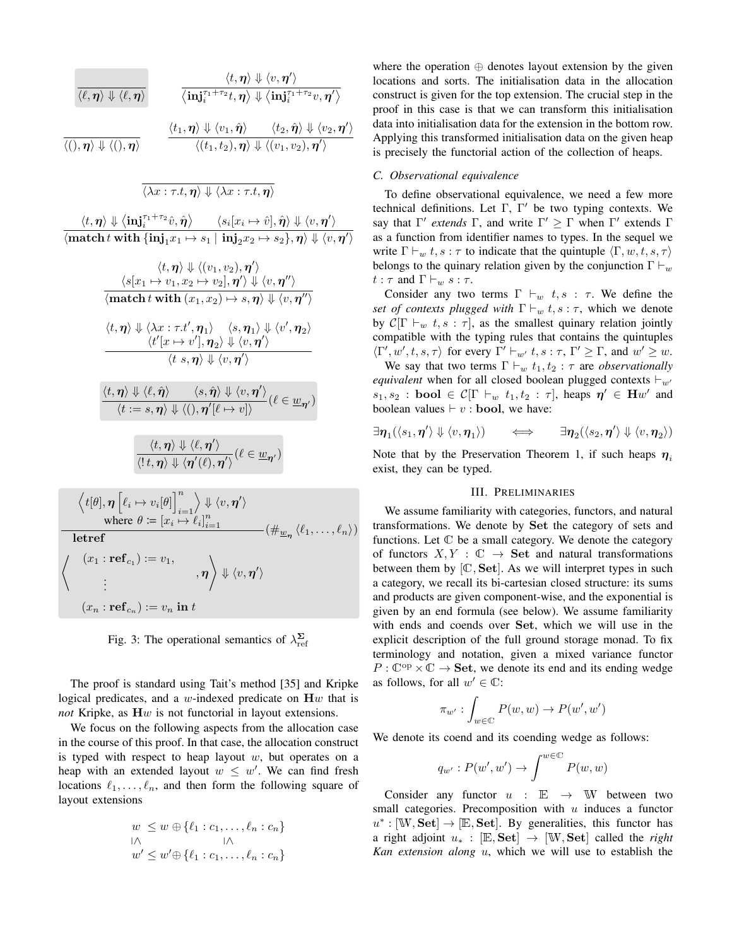$$
\frac{\langle t, \eta \rangle \Downarrow \langle v, \eta' \rangle}{\langle \ell, \eta \rangle \Downarrow \langle \ell, \eta \rangle} \qquad \frac{\langle t, \eta \rangle \Downarrow \langle v, \eta' \rangle}{\langle \mathbf{inj}_{i}^{\tau_{1} + \tau_{2}}t, \eta \rangle \Downarrow \langle \mathbf{inj}_{i}^{\tau_{1} + \tau_{2}}v, \eta' \rangle}
$$
\n
$$
\frac{\langle t_{1}, \eta \rangle \Downarrow \langle v_{1}, \hat{\eta} \rangle \qquad \langle t_{2}, \hat{\eta} \rangle \Downarrow \langle v_{2}, \eta' \rangle}{\langle (t_{1}, t_{2}), \eta \rangle \Downarrow \langle (v_{1}, v_{2}), \eta' \rangle}
$$

$$
\langle \lambda x:\tau.t, \boldsymbol{\eta}\rangle \Downarrow \langle \lambda x:\tau.t, \boldsymbol{\eta}\rangle
$$

 $\langle t, \boldsymbol{\eta} \rangle \Downarrow \big\langle \textbf{inj}_{i}^{\tau_1+\tau_2}\hat{v}, \hat{\boldsymbol{\eta}} \big\rangle \qquad \langle s_i[x_i \mapsto \hat{v}], \hat{\boldsymbol{\eta}} \rangle \Downarrow \langle v, \boldsymbol{\eta}' \rangle$  $\overline{\bra{\text{match}} t \text{ with } \{\text{inj}_1 x_1 \mapsto s_1 \mid \text{inj}_2 x_2 \mapsto s_2\}, \eta \rangle \Downarrow \langle v, \eta' \rangle}$ 

$$
\langle t, \eta \rangle \Downarrow \langle (v_1, v_2), \eta' \rangle
$$
  
\n
$$
\frac{\langle s[x_1 \mapsto v_1, x_2 \mapsto v_2], \eta' \rangle \Downarrow \langle v, \eta'' \rangle}{\langle \textbf{match } t \text{ with } (x_1, x_2) \mapsto s, \eta \rangle \Downarrow \langle v, \eta'' \rangle}
$$
  
\n
$$
\frac{\langle t, \eta \rangle \Downarrow \langle \lambda x : \tau.t', \eta_1 \rangle \quad \langle s, \eta_1 \rangle \Downarrow \langle v', \eta_2 \rangle}{\langle t'[x \mapsto v'], \eta_2 \rangle \Downarrow \langle v, \eta' \rangle}
$$
  
\n
$$
\frac{\langle t, \eta \rangle \Downarrow \langle \ell, \hat{\eta} \rangle \quad \langle s, \hat{\eta} \rangle \Downarrow \langle v, \eta' \rangle}{\langle t = s, \eta \rangle \Downarrow \langle 0, \eta'[\ell \mapsto v] \rangle} (\ell \in \underline{w}_{\eta'})
$$
  
\n
$$
\frac{\langle t, \eta \rangle \Downarrow \langle \ell, \hat{\eta} \rangle \Downarrow \langle \ell, \eta' \rangle}{\langle t, \eta \rangle \Downarrow \langle \ell, \eta' \rangle}
$$

$$
\overline{\langle \mathbf{1} t, \boldsymbol{\eta} \rangle \Downarrow \langle \boldsymbol{\eta}'(\ell), \boldsymbol{\eta}' \rangle} (\ell \in \underline{w}_{\boldsymbol{\eta}'})
$$

$$
\langle t[\theta], \boldsymbol{\eta} \left[ \ell_i \mapsto v_i[\theta] \right]_{i=1}^n \rangle \Downarrow \langle v, \boldsymbol{\eta}' \rangle
$$
\nwhere  $\theta := [x_i \mapsto \ell_i]_{i=1}^n$   $(\#_{\underline{w}_{\boldsymbol{\eta}}} \langle \ell_1, \dots, \ell_n \rangle)$   
\n**letterf**\n
$$
\langle \begin{array}{c} (x_1 : \mathbf{ref}_{c_1}) := v_1, \\ \vdots \\ (x_n : \mathbf{ref}_{c_n}) := v_n \text{ in } t \end{array}, \boldsymbol{\eta} \rangle \Downarrow \langle v, \boldsymbol{\eta}' \rangle
$$

Fig. 3: The operational semantics of  $\lambda_{ref}^{\Sigma}$ 

The proof is standard using Tait's method [35] and Kripke logical predicates, and a w-indexed predicate on  $\mathbf{H}w$  that is *not* Kripke, as Hw is not functorial in layout extensions.

We focus on the following aspects from the allocation case in the course of this proof. In that case, the allocation construct is typed with respect to heap layout  $w$ , but operates on a heap with an extended layout  $w \leq w'$ . We can find fresh locations  $\ell_1, \ldots, \ell_n$ , and then form the following square of layout extensions

$$
w \leq w \oplus \{\ell_1 : c_1, \dots, \ell_n : c_n\}
$$
  

$$
\wedge \qquad \qquad \wedge
$$
  

$$
w' \leq w' \oplus \{\ell_1 : c_1, \dots, \ell_n : c_n\}
$$

where the operation  $oplus$  denotes layout extension by the given locations and sorts. The initialisation data in the allocation construct is given for the top extension. The crucial step in the proof in this case is that we can transform this initialisation data into initialisation data for the extension in the bottom row. Applying this transformed initialisation data on the given heap is precisely the functorial action of the collection of heaps.

# *C. Observational equivalence*

To define observational equivalence, we need a few more technical definitions. Let  $\Gamma$ ,  $\Gamma'$  be two typing contexts. We say that  $\Gamma'$  *extends*  $\Gamma$ , and write  $\Gamma' \geq \Gamma$  when  $\Gamma'$  extends  $\Gamma$ as a function from identifier names to types. In the sequel we write  $\Gamma \vdash_w t, s : \tau$  to indicate that the quintuple  $\langle \Gamma, w, t, s, \tau \rangle$ belongs to the quinary relation given by the conjunction  $\Gamma \vdash_w$  $t : \tau$  and  $\Gamma \vdash_w s : \tau$ .

Consider any two terms  $\Gamma \vdash_w t, s : \tau$ . We define the *set of contexts plugged with*  $\Gamma \vdash_w t, s : \tau$ , which we denote by  $C[\Gamma \vdash_w t, s : \tau]$ , as the smallest quinary relation jointly compatible with the typing rules that contains the quintuples  $\langle \Gamma', w', t, s, \tau \rangle$  for every  $\Gamma' \vdash_{w'} t, s : \tau, \Gamma' \geq \Gamma$ , and  $w' \geq w$ .

We say that two terms  $\Gamma \vdash_w t_1, t_2 : \tau$  are *observationally equivalent* when for all closed boolean plugged contexts  $\vdash_{w'}$  $s_1, s_2$ : bool  $\in \mathcal{C}[\Gamma \vdash_w t_1, t_2 : \tau]$ , heaps  $\eta' \in Hw'$  and boolean values  $\vdash v : \textbf{bool}$ , we have:

$$
\exists \eta_1(\langle s_1, \eta' \rangle \Downarrow \langle v, \eta_1 \rangle) \qquad \Longleftrightarrow \qquad \exists \eta_2(\langle s_2, \eta' \rangle \Downarrow \langle v, \eta_2 \rangle)
$$

Note that by the Preservation Theorem 1, if such heaps  $\eta_i$ exist, they can be typed.

# III. PRELIMINARIES

We assume familiarity with categories, functors, and natural transformations. We denote by Set the category of sets and functions. Let  $\mathbb C$  be a small category. We denote the category of functors  $X, Y : \mathbb{C} \to \mathbf{Set}$  and natural transformations between them by  $[\mathbb{C}, \mathbf{Set}]$ . As we will interpret types in such a category, we recall its bi-cartesian closed structure: its sums and products are given component-wise, and the exponential is given by an end formula (see below). We assume familiarity with ends and coends over Set, which we will use in the explicit description of the full ground storage monad. To fix terminology and notation, given a mixed variance functor  $P: \mathbb{C}^{op} \times \mathbb{C} \to \mathbf{Set}$ , we denote its end and its ending wedge as follows, for all  $w' \in \mathbb{C}$ :

$$
\pi_{w'}: \int_{w \in \mathbb{C}} P(w, w) \to P(w', w')
$$

We denote its coend and its coending wedge as follows:

$$
q_{w'}: P(w', w') \to \int^{w \in \mathbb{C}} P(w, w)
$$

Consider any functor  $u : \mathbb{E} \to \mathbb{W}$  between two small categories. Precomposition with  $u$  induces a functor  $u^* : [\mathbb{W}, \mathbf{Set}] \to [\mathbb{E}, \mathbf{Set}]$ . By generalities, this functor has a right adjoint  $u_*$ : [E, Set]  $\rightarrow$  [W, Set] called the *right Kan extension along* u, which we will use to establish the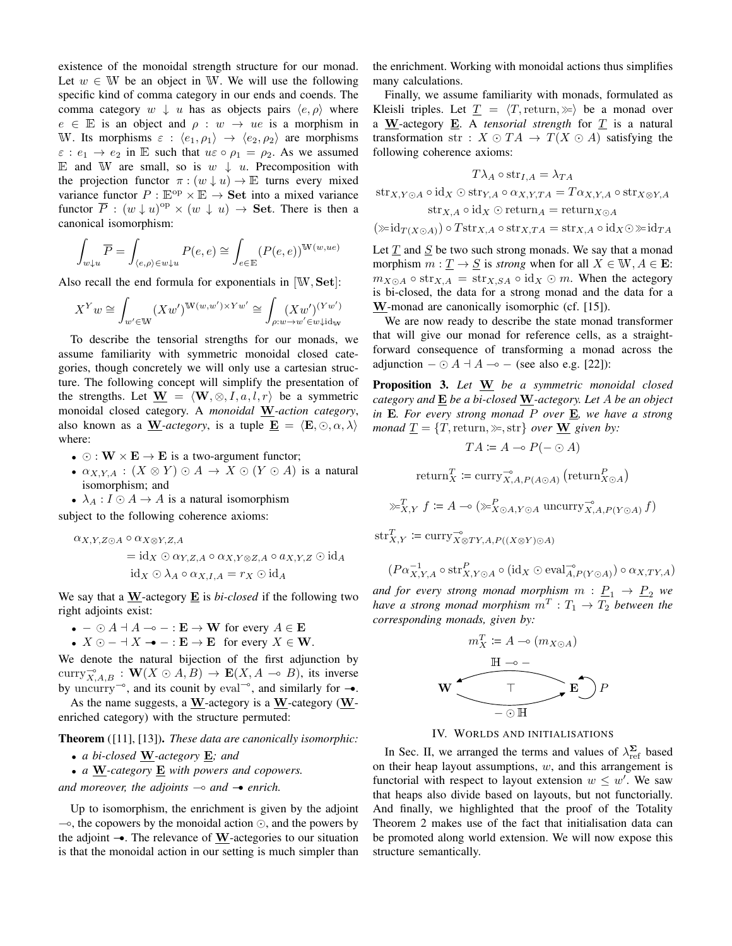existence of the monoidal strength structure for our monad. Let  $w \in W$  be an object in W. We will use the following specific kind of comma category in our ends and coends. The comma category  $w \downarrow u$  has as objects pairs  $\langle e, \rho \rangle$  where  $e \in \mathbb{E}$  is an object and  $\rho : w \rightarrow ue$  is a morphism in W. Its morphisms  $\varepsilon : \langle e_1, \rho_1 \rangle \rightarrow \langle e_2, \rho_2 \rangle$  are morphisms  $\varepsilon$  :  $e_1 \rightarrow e_2$  in E such that  $u \varepsilon \circ \rho_1 = \rho_2$ . As we assumed E and W are small, so is  $w \downarrow u$ . Precomposition with the projection functor  $\pi$ :  $(w \downarrow u) \rightarrow \mathbb{E}$  turns every mixed variance functor  $P : \mathbb{E}^{\text{op}} \times \mathbb{E} \to \mathbf{Set}$  into a mixed variance functor  $\overline{P}$  :  $(w \downarrow u)^{\text{op}} \times (w \downarrow u) \rightarrow$  Set. There is then a canonical isomorphism:

$$
\int_{w \downarrow u} \overline{P} = \int_{\langle e, \rho \rangle \in w \downarrow u} P(e, e) \cong \int_{e \in \mathbb{E}} (P(e, e))^{\mathbb{W}(w, ue)}
$$

Also recall the end formula for exponentials in [W, Set]:

$$
X^{Y}w \cong \int_{w' \in \mathcal{W}} (Xw')^{\mathcal{W}(w,w') \times Yw'} \cong \int_{\rho:w \to w' \in w \downarrow id_{\mathcal{W}}}
$$

To describe the tensorial strengths for our monads, we assume familiarity with symmetric monoidal closed categories, though concretely we will only use a cartesian structure. The following concept will simplify the presentation of the strengths. Let  $\underline{W} = \langle W, \otimes, I, a, l, r \rangle$  be a symmetric monoidal closed category. A *monoidal* W*-action category*, also known as a W-*actegory*, is a tuple  $\underline{\mathbf{E}} = \langle \mathbf{E}, \odot, \alpha, \lambda \rangle$ where:

- $\odot$  :  $W \times E \rightarrow E$  is a two-argument functor;
- $\alpha_{X,Y,A}: (X \otimes Y) \odot A \rightarrow X \odot (Y \odot A)$  is a natural isomorphism; and
- $\lambda_A : I \odot A \rightarrow A$  is a natural isomorphism

subject to the following coherence axioms:

$$
\alpha_{X,Y,Z\odot A}\circ \alpha_{X\otimes Y,Z,A}
$$
  
= id<sub>X</sub>  $\odot \alpha_{Y,Z,A}\circ \alpha_{X,Y\otimes Z,A}\circ a_{X,Y,Z}\odot id_A$   
id<sub>X</sub>  $\odot \lambda_A \circ \alpha_{X,I,A} = r_X \odot id_A$ 

We say that a W-actegory E is *bi-closed* if the following two right adjoints exist:

- $\bullet$   $\odot$  A + A – $\circ$  : **E**  $\rightarrow$  W for every A  $\in$  **E**
- $X \odot \dagger X \rightarrow : E \rightarrow E$  for every  $X \in W$ .

We denote the natural bijection of the first adjunction by curry $\overline{X}_{A,B}$ :  $\mathbf{W}(X \odot A, B) \rightarrow \mathbf{E}(X, A \multimap B)$ , its inverse by uncurry<sup>-</sup>, and its counit by eval<sup>-</sup>, and similarly for  $\rightarrow$ .

As the name suggests, a  $W$ -actegory is a  $W$ -category ( $W$ enriched category) with the structure permuted:

Theorem ([11], [13]). *These data are canonically isomorphic:*

- *a bi-closed* W*-actegory* E*; and*
- *a* W*-category* E *with powers and copowers.*

*and moreover, the adjoints*  $\rightarrow$  *and*  $\rightarrow$  *enrich.* 

Up to isomorphism, the enrichment is given by the adjoint  $\sim$ , the copowers by the monoidal action  $\odot$ , and the powers by the adjoint  $\rightarrow$ . The relevance of W-actegories to our situation is that the monoidal action in our setting is much simpler than

the enrichment. Working with monoidal actions thus simplifies many calculations.

Finally, we assume familiarity with monads, formulated as Kleisli triples. Let  $T = \langle T, \text{return}, \rangle$  be a monad over a  $\underline{W}$ -actegory  $\underline{E}$ . A *tensorial strength* for  $\underline{T}$  is a natural transformation str :  $X \odot TA \rightarrow T(X \odot A)$  satisfying the following coherence axioms:

$$
T\lambda_A\circ\text{str}_{I,A}=\lambda_{TA}
$$

 $\text{str}_{X,Y\odot A}\circ \text{id}_X\odot \text{str}_{Y,A}\circ \alpha_{X,Y,TA}=T\alpha_{X,Y,A}\circ \text{str}_{X\otimes Y,A}$  $\text{str}_{X,A} \circ \text{id}_X \odot \text{return}_A = \text{return}_{X \odot A}$ 

$$
(\gg \mathrm{id}_{T(X\odot A)})\circ T\mathrm{str}_{X,A}\circ\mathrm{str}_{X,TA}=\mathrm{str}_{X,A}\circ \mathrm{id}_X\odot\gg \mathrm{id}_{TA}
$$

Let  $\underline{T}$  and  $\underline{S}$  be two such strong monads. We say that a monad morphism  $m: \underline{T} \to \underline{S}$  is *strong* when for all  $X \in W, A \in \mathbf{E}$ :  $m_{X \odot A} \circ \text{str}_{X, A} = \text{str}_{X, SA} \circ \text{id}_X \odot m$ . When the actegory is bi-closed, the data for a strong monad and the data for a W-monad are canonically isomorphic (cf. [15]).

We are now ready to describe the state monad transformer that will give our monad for reference cells, as a straightforward consequence of transforming a monad across the adjunction  $-\odot A + A - \circ -$  (see also e.g. [22]):

Proposition 3. *Let* W *be a symmetric monoidal closed category and* E *be a bi-closed* W*-actegory. Let* A *be an object in* E*. For every strong monad* P *over* E*, we have a strong monad*  $T = \{T, \text{return}, \gg, \text{str}\}$  *over* **W** *given by:* 

$$
TA \coloneqq A \multimap P(- \odot A)
$$

$$
\operatorname{return}_{X}^{T} \coloneqq \operatorname{curry}_{X,A,P(A \odot A)}^{-\circ} \left( \operatorname{return}_{X \odot A}^{P} \right)
$$

$$
\mathcal{F}_{X,Y}^T f \coloneqq A \multimap (\mathcal{F}_{X \odot A, Y \odot A}^P \text{uncutry}_{X,A,P(Y \odot A)}^T f)
$$

 $\text{str}_{X,Y}^T \coloneqq \text{curry}_{X \otimes TY,A,P((X \otimes Y) \odot A)}^T$ 

$$
(P\alpha^{-1}_{X,Y,A}\circ \operatorname{str}^P_{X,Y\odot A}\circ (\operatorname{id}_X\odot \operatorname{eval}^{-\circ}_{A,P(Y\odot A)})\circ \alpha_{X,TY,A})
$$

*and for every strong monad morphism*  $m : \underline{P}_1 \rightarrow \underline{P}_2$  *we* have a strong monad morphism  $m^T : T_1 \rightarrow T_2$  between the *corresponding monads, given by:*



IV. WORLDS AND INITIALISATIONS

In Sec. II, we arranged the terms and values of  $\lambda_{\text{ref}}^{\Sigma}$  based on their heap layout assumptions,  $w$ , and this arrangement is functorial with respect to layout extension  $w \leq w'$ . We saw that heaps also divide based on layouts, but not functorially. And finally, we highlighted that the proof of the Totality Theorem 2 makes use of the fact that initialisation data can be promoted along world extension. We will now expose this structure semantically.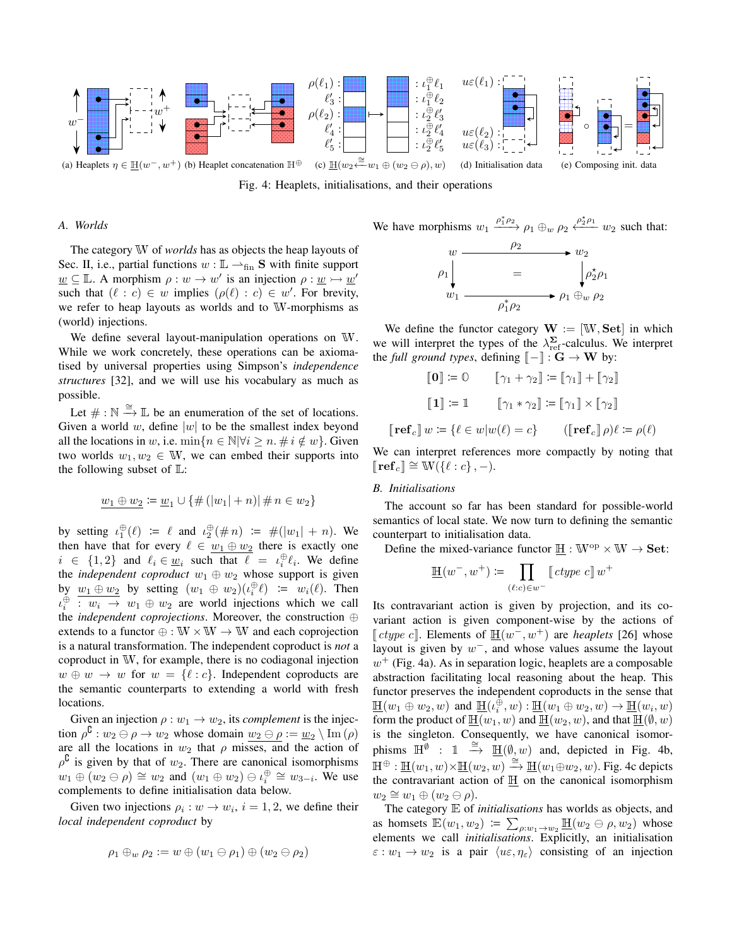

Fig. 4: Heaplets, initialisations, and their operations

#### *A. Worlds*

The category W of *worlds* has as objects the heap layouts of Sec. II, i.e., partial functions  $w : \mathbb{L} \longrightarrow_{fin} S$  with finite support  $\underline{w} \subseteq \mathbb{L}$ . A morphism  $\rho : w \to w'$  is an injection  $\rho : \underline{w} \to \underline{w}'$ such that  $(\ell : c) \in w$  implies  $(\rho(\ell) : c) \in w'$ . For brevity, we refer to heap layouts as worlds and to W-morphisms as (world) injections.

We define several layout-manipulation operations on W. While we work concretely, these operations can be axiomatised by universal properties using Simpson's *independence structures* [32], and we will use his vocabulary as much as possible.

Let  $\# : \mathbb{N} \stackrel{\cong}{\longrightarrow} \mathbb{L}$  be an enumeration of the set of locations. Given a world w, define  $|w|$  to be the smallest index beyond all the locations in w, i.e.  $\min\{n \in \mathbb{N} | \forall i \geq n, \# i \notin w\}$ . Given two worlds  $w_1, w_2 \in \mathbb{W}$ , we can embed their supports into the following subset of  $\mathbb{L}$ :

$$
\underline{w_1 \oplus w_2} \coloneqq \underline{w}_1 \cup \{\#(|w_1|+n)| \, \# \, n \in w_2\}
$$

by setting  $\iota_1^{\oplus}(\ell) := \ell$  and  $\iota_2^{\oplus}(\# n) := \#(|w_1| + n)$ . We then have that for every  $\ell \in w_1 \oplus w_2$  there is exactly one  $i \in \{1,2\}$  and  $\ell_i \in \underline{w}_i$  such that  $\ell = \iota_i^{\oplus} \ell_i$ . We define the *independent coproduct*  $w_1 \oplus w_2$  whose support is given by  $\underline{w_1 \oplus w_2}$  by setting  $(w_1 \oplus w_2)(\iota_i^{\oplus} \ell) := w_i(\ell)$ . Then  $u_i^{\oplus}$  :  $w_i \rightarrow w_1 \oplus w_2$  are world injections which we call the *independent coprojections*. Moreover, the construction ⊕ extends to a functor  $\oplus : W \times W \to W$  and each coprojection is a natural transformation. The independent coproduct is *not* a coproduct in W, for example, there is no codiagonal injection  $w \oplus w \rightarrow w$  for  $w = \{\ell : c\}$ . Independent coproducts are the semantic counterparts to extending a world with fresh locations.

Given an injection  $\rho : w_1 \to w_2$ , its *complement* is the injection  $\rho^{\complement}: w_2 \ominus \rho \rightarrow w_2$  whose domain  $w_2 \ominus \rho := w_2 \setminus \text{Im}(\rho)$ are all the locations in  $w_2$  that  $\rho$  misses, and the action of  $\rho^{\complement}$  is given by that of  $w_2$ . There are canonical isomorphisms  $w_1 \oplus (w_2 \ominus \rho) \cong w_2$  and  $(w_1 \oplus w_2) \ominus \iota_i^{\oplus} \cong w_{3-i}$ . We use complements to define initialisation data below.

Given two injections  $\rho_i : w \to w_i$ ,  $i = 1, 2$ , we define their *local independent coproduct* by

$$
\rho_1 \oplus_w \rho_2 := w \oplus (w_1 \ominus \rho_1) \oplus (w_2 \ominus \rho_2)
$$

We have morphisms 
$$
w_1 \xrightarrow{\rho_1^* \rho_2} \rho_1 \oplus_w \rho_2 \xleftarrow{\rho_2^* \rho_1} w_2
$$
 such that:  
\n $w \xrightarrow{\rho_2} w_2$   
\n $\rho_1 \downarrow \qquad = \qquad \qquad \downarrow \rho_2^* \rho_1$   
\n $w_1 \xrightarrow{\rho_1^* \rho_2} \rho_1 \oplus_w \rho_2$ 

 $\rho_2^*$ 

We define the functor category  $W := [W, Set]$  in which we will interpret the types of the  $\lambda_{\text{ref}}^{\Sigma}$ -calculus. We interpret the *full ground types*, defining  $\llbracket - \rrbracket : G \to W$  by:

$$
\begin{bmatrix} \mathbf{0} \end{bmatrix} := \mathbb{O} \qquad \begin{bmatrix} \gamma_1 + \gamma_2 \end{bmatrix} := \begin{bmatrix} \gamma_1 \end{bmatrix} + \begin{bmatrix} \gamma_2 \end{bmatrix}
$$

$$
\begin{bmatrix} \mathbf{1} \end{bmatrix} := \mathbb{1} \qquad \begin{bmatrix} \gamma_1 * \gamma_2 \end{bmatrix} := \begin{bmatrix} \gamma_1 \end{bmatrix} \times \begin{bmatrix} \gamma_2 \end{bmatrix}
$$

$$
\begin{bmatrix} \mathbf{ref}_c \end{bmatrix} w := \{ \ell \in w | w(\ell) = c \} \qquad (\begin{bmatrix} \mathbf{ref}_c \end{bmatrix} \rho) \ell := \rho(\ell)
$$

We can interpret references more compactly by noting that  $\llbracket \mathbf{ref}_c \rrbracket \cong \mathbb{W}(\{\ell : c\}, -).$ 

#### *B. Initialisations*

The account so far has been standard for possible-world semantics of local state. We now turn to defining the semantic counterpart to initialisation data.

Define the mixed-variance functor  $H : W^{op} \times W \rightarrow Set$ :

$$
\underline{\mathbb{H}}(w^-,w^+) \coloneqq \prod_{(\ell:c) \in w^-} [\![\mathit{ctype}\; c]\!] w^+
$$

Its contravariant action is given by projection, and its covariant action is given component-wise by the actions of [ctype c]. Elements of  $\underline{\mathbb{H}}(w^-, w^+)$  are *heaplets* [26] whose layout is given by  $w^-$ , and whose values assume the layout  $w^{+}$  (Fig. 4a). As in separation logic, heaplets are a composable abstraction facilitating local reasoning about the heap. This functor preserves the independent coproducts in the sense that  $\underline{\mathbb{H}}(w_1 \oplus w_2, w)$  and  $\underline{\mathbb{H}}(\iota_i^{\oplus}, w) : \underline{\mathbb{H}}(w_1 \oplus w_2, w) \to \underline{\mathbb{H}}(w_i, w)$ form the product of  $\underline{\mathbb{H}}(w_1, w)$  and  $\underline{\mathbb{H}}(w_2, w)$ , and that  $\underline{\mathbb{H}}(\emptyset, w)$ is the singleton. Consequently, we have canonical isomorphisms  $\mathbb{H}^{\emptyset}$  : 1  $\stackrel{\cong}{\to} \mathbb{H}(\emptyset, w)$  and, depicted in Fig. 4b,  $\mathbb{H}^{\oplus}$ :  $\underline{\mathbb{H}}(w_1, w) \times \underline{\mathbb{H}}(w_2, w) \stackrel{\cong}{\longrightarrow} \underline{\mathbb{H}}(w_1 \oplus w_2, w)$ . Fig. 4c depicts the contravariant action of  $\underline{\mathbb{H}}$  on the canonical isomorphism  $w_2 \cong w_1 \oplus (w_2 \ominus \rho).$ 

The category E of *initialisations* has worlds as objects, and as homsets  $\mathbb{E}(w_1, w_2) \coloneqq \sum_{\rho:w_1\to w_2} \mathbb{H}(w_2 \ominus \rho, w_2)$  whose elements we call *initialisations*. Explicitly, an initialisation  $\varepsilon : w_1 \to w_2$  is a pair  $\langle u \varepsilon, \eta_{\varepsilon} \rangle$  consisting of an injection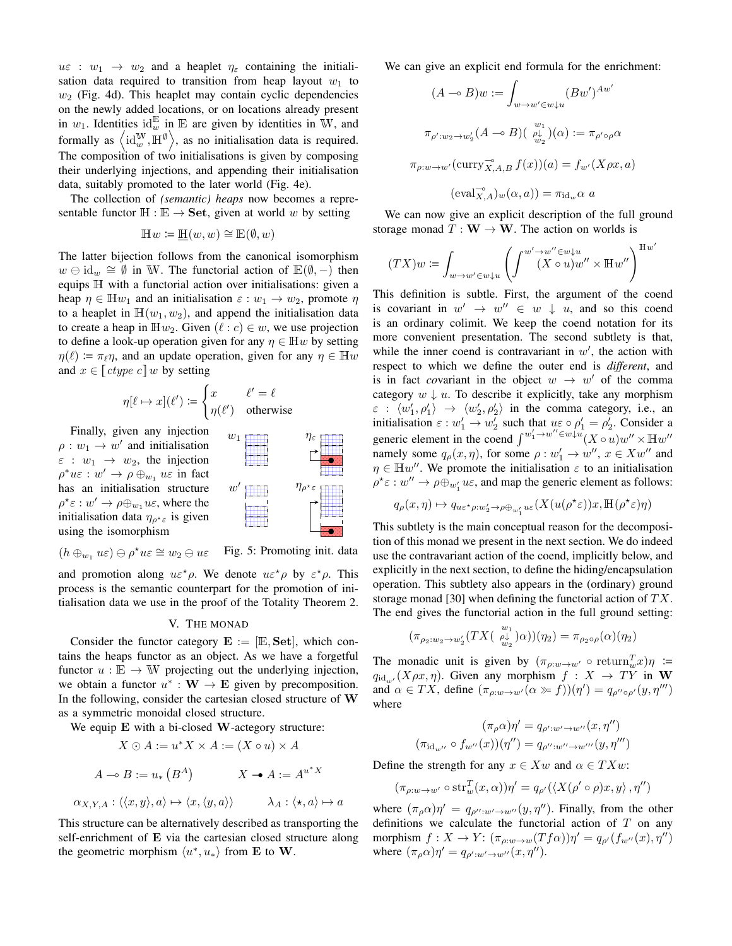$u\varepsilon$  :  $w_1 \rightarrow w_2$  and a heaplet  $\eta_{\varepsilon}$  containing the initialisation data required to transition from heap layout  $w_1$  to  $w_2$  (Fig. 4d). This heaplet may contain cyclic dependencies on the newly added locations, or on locations already present in  $w_1$ . Identities  $id_w^E$  in  $E$  are given by identities in W, and formally as  $\left\langle \mathrm{id}_{w}^{\mathbb{W}},\mathbb{H}^{\emptyset}\right\rangle$ , as no initialisation data is required. The composition of two initialisations is given by composing their underlying injections, and appending their initialisation data, suitably promoted to the later world (Fig. 4e).

The collection of *(semantic) heaps* now becomes a representable functor  $H : \mathbb{E} \to \mathbf{Set}$ , given at world w by setting

$$
\mathbb{H}w \coloneqq \underline{\mathbb{H}}(w, w) \cong \mathbb{E}(\emptyset, w)
$$

The latter bijection follows from the canonical isomorphism  $w \ominus id_w \cong \emptyset$  in W. The functorial action of  $\mathbb{E}(\emptyset, -)$  then equips H with a functorial action over initialisations: given a heap  $\eta \in \mathbb{H}w_1$  and an initialisation  $\varepsilon : w_1 \to w_2$ , promote  $\eta$ to a heaplet in  $\mathbb{H}(w_1, w_2)$ , and append the initialisation data to create a heap in  $\mathbb{H}w_2$ . Given  $(\ell : c) \in w$ , we use projection to define a look-up operation given for any  $\eta \in \mathbb{H}$ w by setting  $\eta(\ell) \coloneqq \pi_{\ell} \eta$ , and an update operation, given for any  $\eta \in \mathbb{H}$ w and  $x \in \llbracket \text{ctype } c \rrbracket w$  by setting

$$
\eta[\ell \mapsto x](\ell') \coloneqq \begin{cases} x & \ell' = \ell \\ \eta(\ell') & \text{otherwise} \end{cases}
$$

Finally, given any injection  $\rho: w_1 \to w'$  and initialisation  $\varepsilon : w_1 \rightarrow w_2$ , the injection  $\rho^* u \varepsilon : w' \to \rho \oplus_{w_1} u \varepsilon$  in fact has an initialisation structure  $\rho^{\star}\varepsilon:w'\to\rho\oplus_{w_1}u\varepsilon$ , where the initialisation data  $\eta_{\rho^* \varepsilon}$  is given using the isomorphism



Fig. 5: Promoting init. data  $(h \oplus_{w_1} u\varepsilon) \ominus \rho^* u\varepsilon \cong w_2 \ominus u\varepsilon$ 

w

and promotion along  $u \varepsilon^* \rho$ . We denote  $u \varepsilon^* \rho$  by  $\varepsilon^* \rho$ . This process is the semantic counterpart for the promotion of initialisation data we use in the proof of the Totality Theorem 2.

#### V. THE MONAD

Consider the functor category  $\mathbf{E} := [\mathbb{E}, \mathbf{Set}]$ , which contains the heaps functor as an object. As we have a forgetful functor  $u : \mathbb{E} \to \mathbb{W}$  projecting out the underlying injection, we obtain a functor  $u^* : \mathbf{W} \to \mathbf{E}$  given by precomposition. In the following, consider the cartesian closed structure of W as a symmetric monoidal closed structure.

We equip E with a bi-closed W-actegory structure:

$$
X \odot A := u^* X \times A := (X \circ u) \times A
$$

$$
A \multimap B := u_* (B^A) \qquad X \multimap A := A^{u^* X}
$$

$$
\alpha_{X,Y,A} : \langle \langle x, y \rangle, a \rangle \mapsto \langle x, \langle y, a \rangle \rangle \qquad \lambda_A : \langle \star, a \rangle \mapsto a
$$

This structure can be alternatively described as transporting the self-enrichment of E via the cartesian closed structure along the geometric morphism  $\langle u^*, u_* \rangle$  from **E** to **W**.

We can give an explicit end formula for the enrichment:

$$
(A \multimap B)w := \int_{w \to w' \in w \downarrow u} (Bw')^{Aw'}
$$

$$
\pi_{\rho':w_2 \to w'_2} (A \multimap B) \left( \begin{array}{c} w_1 \\ \psi_2 \end{array} \right) (\alpha) := \pi_{\rho' \circ \rho} \alpha
$$

$$
\pi_{\rho:w \to w'}(\text{curr}_{X,A,B} f(x))(a) = f_{w'}(X\rho x, a)
$$

$$
(\text{eval}_{X,A}^{-\circ})_w(\alpha, a)) = \pi_{\text{id}_w} \alpha \ a
$$

We can now give an explicit description of the full ground storage monad  $T : W \to W$ . The action on worlds is

$$
(TX)w\coloneqq\int_{w\to w'\in w\downarrow u}\left(\int^{w'\to w''\in w\downarrow u}(X\circ u)w''\times \mathbb{H} w''\right)^{\mathbb{H} w'}
$$

This definition is subtle. First, the argument of the coend is covariant in  $w' \rightarrow w'' \in w \downarrow u$ , and so this coend is an ordinary colimit. We keep the coend notation for its more convenient presentation. The second subtlety is that, while the inner coend is contravariant in  $w'$ , the action with respect to which we define the outer end is *different*, and is in fact *covariant* in the object  $w \rightarrow w'$  of the comma category  $w \downarrow u$ . To describe it explicitly, take any morphism  $\varepsilon : \langle w_1', \rho_1' \rangle \rightarrow \langle w_2', \rho_2' \rangle$  in the comma category, i.e., an initialisation  $\varepsilon : w_1' \to w_2'$  such that  $u \varepsilon \circ \rho_1' = \rho_2'$ . Consider a generic element in the coend  $\int^{w'_1 \to w'' \in w \downarrow u}(X \circ u)w'' \times \mathbb{H}w''$ namely some  $q_{\rho}(x, \eta)$ , for some  $\rho : w'_1 \to w''$ ,  $x \in Xw''$  and  $\eta \in \mathbb{H}w''$ . We promote the initialisation  $\varepsilon$  to an initialisation  $\rho^* \varepsilon : w'' \to \rho \oplus_{w'_1} u \varepsilon$ , and map the generic element as follows:

$$
q_\rho(x,\eta)\mapsto q_{u\varepsilon^\star\rho:w_2'\to\rho\oplus_{w_1'} u\varepsilon}(X(u(\rho^\star\varepsilon))x,\mathbb{H}(\rho^\star\varepsilon)\eta)
$$

This subtlety is the main conceptual reason for the decomposition of this monad we present in the next section. We do indeed use the contravariant action of the coend, implicitly below, and explicitly in the next section, to define the hiding/encapsulation operation. This subtlety also appears in the (ordinary) ground storage monad [30] when defining the functorial action of  $TX$ . The end gives the functorial action in the full ground setting:

$$
(\pi_{\rho_2:w_2\to w'_2}(TX(\begin{array}{c}w_1\\ \rho\omega\\ w_2\end{array})\alpha))(\eta_2)=\pi_{\rho_2\circ\rho}(\alpha)(\eta_2)
$$

The monadic unit is given by  $(\pi_{\rho:w\to w'} \circ \text{return}_w^T x)\eta :=$  $q_{\text{id}_{w'}}(X\rho x, \eta)$ . Given any morphism  $f : X \to TY$  in W and  $\alpha \in TX$ , define  $(\pi_{\rho:w \to w'}(\alpha \gg f))(\eta') = q_{\rho'' \circ \rho'}(y, \eta''')$ where

$$
(\pi_{\rho}\alpha)\eta' = q_{\rho':w'\to w''}(x,\eta'')
$$

$$
(\pi_{\mathrm{id}_{w''}} \circ f_{w''}(x))(\eta'') = q_{\rho'':w''\to w''}(y,\eta''')
$$

Define the strength for any  $x \in Xw$  and  $\alpha \in TXw$ :

$$
(\pi_{\rho:w\to w'}\circ \operatorname{str}^T_w(x,\alpha))\eta' = q_{\rho'}(\langle X(\rho'\circ\rho)x,y\rangle,\eta'')
$$

where  $(\pi_{\rho}\alpha)\eta' = q_{\rho'':\omega'\to\omega''}(y,\eta'')$ . Finally, from the other definitions we calculate the functorial action of  $T$  on any morphism  $f: X \to Y: (\pi_{\rho:w\to w}(Tf\alpha))\eta' = q_{\rho'}(f_{w''}(x), \eta'')$ where  $(\pi_{\rho}\alpha)\eta' = q_{\rho':w'\rightarrow w''}(x,\eta'').$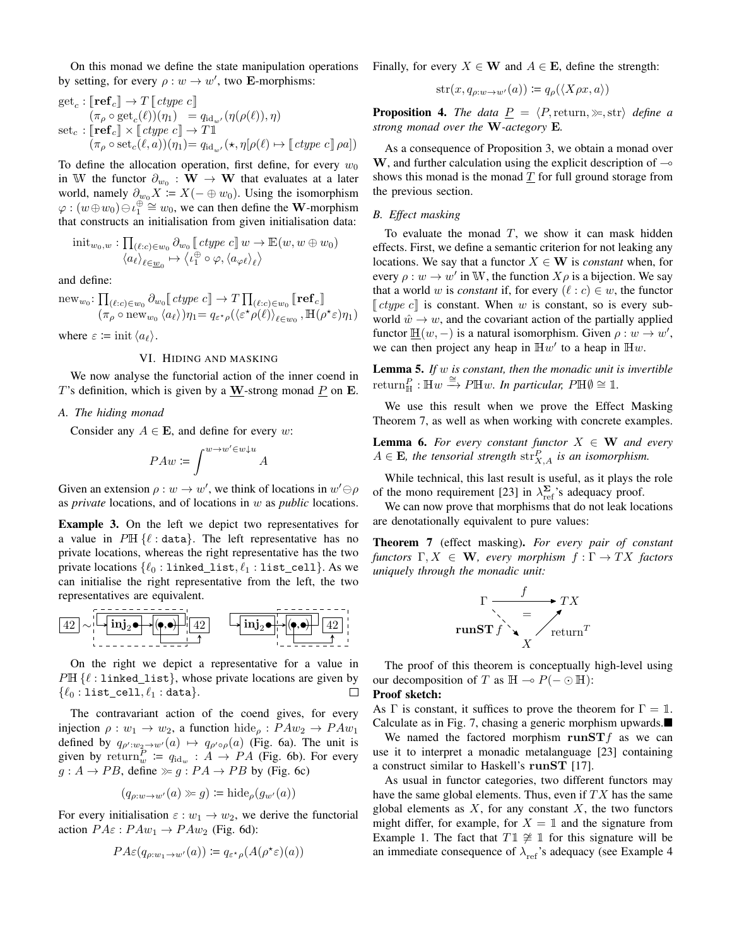On this monad we define the state manipulation operations by setting, for every  $\rho : w \to w'$ , two **E**-morphisms:

$$
\begin{array}{l} \operatorname{get}_c : \llbracket \operatorname{\bf ref}_c \rrbracket \to T \llbracket \operatorname{ctype} \ c \rrbracket \\ (\pi_\rho \circ \operatorname{get}_c(\ell))( \eta_1) \end{array} = q_{\operatorname{id}_{w'}}(\eta(\rho(\ell)), \eta) \\ \operatorname{set}_c : \llbracket \operatorname{\bf ref}_c \rrbracket \times \llbracket \operatorname{ctype} \ c \rrbracket \to T \rrbracket \\ (\pi_\rho \circ \operatorname{set}_c(\ell, a))( \eta_1) = q_{\operatorname{id}_{w'}}(\star, \eta[\rho(\ell) \mapsto \llbracket \operatorname{ctype} \ c \rrbracket \, \rho a]) \end{array}
$$

To define the allocation operation, first define, for every  $w_0$ in W the functor  $\partial_{w_0} : \mathbf{W} \to \mathbf{W}$  that evaluates at a later world, namely  $\partial_{w_0} X = X(- \oplus w_0)$ . Using the isomorphism  $\varphi$ :  $(w \oplus w_0) \ominus \iota_1^{\oplus} \cong w_0$ , we can then define the W-morphism that constructs an initialisation from given initialisation data:

$$
\mathrm{init}_{w_0,w} : \prod_{(\ell:c) \in w_0} \partial_{w_0} \llbracket \mathit{ctype} \mathit{c} \rrbracket w \to \mathbb{E}(w, w \oplus w_0) \\ \langle a_\ell \rangle_{\ell \in \underline{w}_0} \mapsto \langle \iota_1^{\oplus} \circ \varphi, \langle a_{\varphi \ell} \rangle_{\ell} \rangle
$$

and define:

$$
\mathrm{new}_{w_0}: \prod_{(\ell:c) \in w_0} \partial_{w_0} \llbracket \mathit{ctype} \mathit{c} \rrbracket \to T \prod_{(\ell:c) \in w_0} \llbracket \mathbf{ref}_c \rrbracket
$$

$$
(\pi_\rho \circ \mathrm{new}_{w_0} \langle a_\ell \rangle) \eta_1 = q_{\varepsilon \star \rho} (\langle \varepsilon^{\star} \rho(\ell) \rangle_{\ell \in w_0}, \mathbb{H}(\rho^{\star} \varepsilon) \eta_1)
$$

where  $\varepsilon \coloneqq \mathrm{init}\, \langle a_\ell \rangle$ .

#### VI. HIDING AND MASKING

We now analyse the functorial action of the inner coend in T's definition, which is given by a W-strong monad  $P$  on E.

## *A. The hiding monad*

Consider any  $A \in \mathbf{E}$ , and define for every w:

$$
PAw\coloneqq\int^{w\to w'\in w\downarrow u}A
$$

Given an extension  $\rho : w \to w'$ , we think of locations in  $w' \ominus \rho$ as *private* locations, and of locations in w as *public* locations.

Example 3. On the left we depict two representatives for a value in  $P \mathbb{H} \{ \ell : \text{data} \}.$  The left representative has no private locations, whereas the right representative has the two private locations  $\{\ell_0 : \text{linked\_list}, \ell_1 : \text{list\_cell}\}.$  As we can initialise the right representative from the left, the two representatives are equivalent.



On the right we depict a representative for a value in  $P \mathbb{H} \{ \ell : \text{linked\_list} \},$  whose private locations are given by  $\{\ell_0 : \texttt{list\_cell}, \ell_1 : \texttt{data}\}.$  $\Box$ 

The contravariant action of the coend gives, for every injection  $\rho : w_1 \to w_2$ , a function hide<sub> $\rho : P A w_2 \to P A w_1$ </sub> defined by  $q_{\rho':w_2\to w'}(a) \mapsto q_{\rho'\circ\rho}(a)$  (Fig. 6a). The unit is given by return $_{w}^{P}$  :=  $q_{\text{id}_{w}}$  :  $A \rightarrow PA$  (Fig. 6b). For every  $g : A \rightarrow PB$ , define  $\gg g : PA \rightarrow PB$  by (Fig. 6c)

$$
(q_{\rho:w \to w'}(a) \gg g) \coloneqq \mathrm{hide}_{\rho}(g_{w'}(a))
$$

For every initialisation  $\varepsilon : w_1 \to w_2$ , we derive the functorial action  $PA\varepsilon: PAw_1 \rightarrow PAw_2$  (Fig. 6d):

$$
PA\varepsilon(q_{\rho:w_1\to w'}(a))\coloneqq q_{\varepsilon^{\star}\rho}(A(\rho^{\star}\varepsilon)(a))
$$

Finally, for every  $X \in \mathbf{W}$  and  $A \in \mathbf{E}$ , define the strength:

$$
str(x, q_{\rho:w \to w'}(a)) \coloneqq q_{\rho}(\langle X\rho x, a \rangle)
$$

**Proposition 4.** *The data*  $\underline{P} = \langle P, \text{return}, \rangle$ , str $\rangle$  *define a strong monad over the* W*-actegory* E*.*

As a consequence of Proposition 3, we obtain a monad over  $W$ , and further calculation using the explicit description of  $\sim$ shows this monad is the monad  $\underline{T}$  for full ground storage from the previous section.

# *B. Effect masking*

To evaluate the monad  $T$ , we show it can mask hidden effects. First, we define a semantic criterion for not leaking any locations. We say that a functor  $X \in W$  is *constant* when, for every  $\rho : w \to w'$  in W, the function  $X \rho$  is a bijection. We say that a world w is *constant* if, for every  $(\ell : c) \in w$ , the functor  $\lceil ctype \, c \rceil$  is constant. When w is constant, so is every subworld  $\hat{w} \rightarrow w$ , and the covariant action of the partially applied functor  $\underline{\mathbb{H}}(w,-)$  is a natural isomorphism. Given  $\rho : w \to w'$ , we can then project any heap in  $\mathbb{H}w'$  to a heap in  $\mathbb{H}w$ .

Lemma 5. *If* w *is constant, then the monadic unit is invertible*  $return_{\mathbb{H}}^P : \mathbb{H}w \xrightarrow{\cong} P\mathbb{H}w$ . *In particular,*  $P\mathbb{H}\emptyset \cong \mathbb{1}$ .

We use this result when we prove the Effect Masking Theorem 7, as well as when working with concrete examples.

**Lemma 6.** For every constant functor  $X \in W$  and every  $A \in \mathbf{E}$ , the tensorial strength  $\text{str}^P_{X,A}$  is an isomorphism.

While technical, this last result is useful, as it plays the role of the mono requirement [23] in  $\lambda_{\text{ref}}^{\Sigma}$ 's adequacy proof.

We can now prove that morphisms that do not leak locations are denotationally equivalent to pure values:

Theorem 7 (effect masking). *For every pair of constant functors*  $\Gamma, X \in \mathbf{W}$ *, every morphism*  $f : \Gamma \to TX$  *factors uniquely through the monadic unit:*



The proof of this theorem is conceptually high-level using our decomposition of T as  $H \rightarrow P(- \odot H)$ :

#### Proof sketch:

As  $\Gamma$  is constant, it suffices to prove the theorem for  $\Gamma = \mathbb{1}$ . Calculate as in Fig. 7, chasing a generic morphism upwards.

We named the factored morphism runST $f$  as we can use it to interpret a monadic metalanguage [23] containing a construct similar to Haskell's runST [17].

As usual in functor categories, two different functors may have the same global elements. Thus, even if  $TX$  has the same global elements as  $X$ , for any constant  $X$ , the two functors might differ, for example, for  $X = \mathbb{1}$  and the signature from Example 1. The fact that  $T\mathbb{1} \not\cong \mathbb{1}$  for this signature will be an immediate consequence of  $\lambda_{ref}$ 's adequacy (see Example 4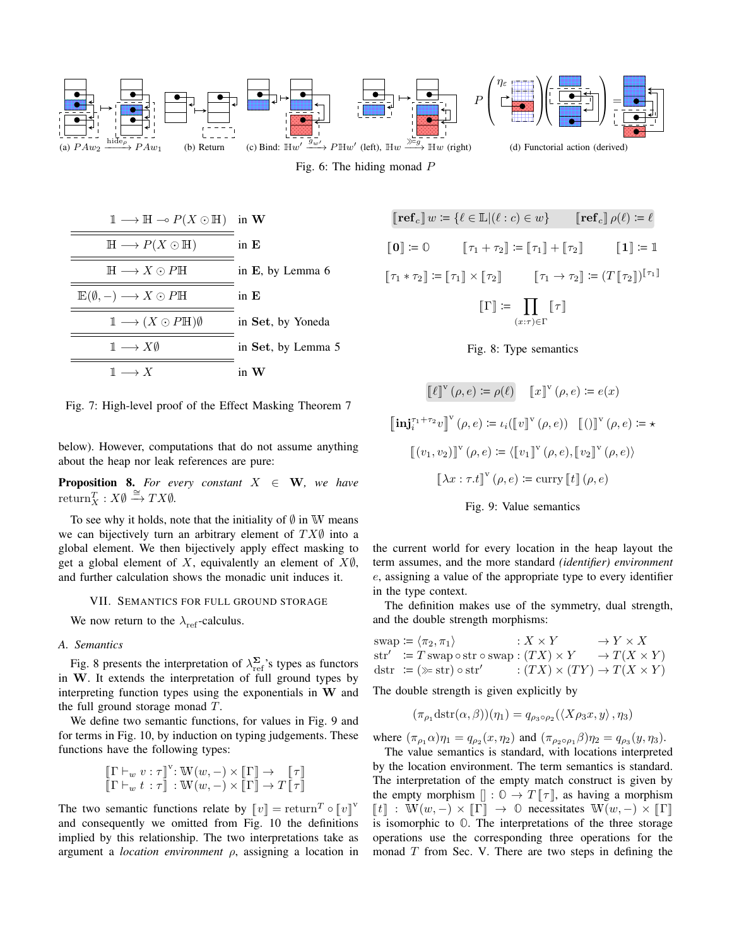







$$
\llbracket \ell \rrbracket^{\mathbf{v}}(\rho, e) \coloneqq \rho(\ell) \quad \llbracket x \rrbracket^{\mathbf{v}}(\rho, e) \coloneqq e(x)
$$
\n
$$
\llbracket \mathbf{inj}_{i}^{\tau_{1} + \tau_{2}} v \rrbracket^{\mathbf{v}}(\rho, e) \coloneqq \iota_{i}(\llbracket v \rrbracket^{\mathbf{v}}(\rho, e)) \quad \llbracket (\text{)} \rrbracket^{\mathbf{v}}(\rho, e) \coloneqq \star
$$
\n
$$
\llbracket (v_{1}, v_{2}) \rrbracket^{\mathbf{v}}(\rho, e) \coloneqq \langle \llbracket v_{1} \rrbracket^{\mathbf{v}}(\rho, e), \llbracket v_{2} \rrbracket^{\mathbf{v}}(\rho, e) \rangle
$$
\n
$$
\llbracket \lambda x : \tau.t \rrbracket^{\mathbf{v}}(\rho, e) \coloneqq \text{curry} \llbracket t \rrbracket(\rho, e)
$$



the current world for every location in the heap layout the term assumes, and the more standard *(identifier) environment* e, assigning a value of the appropriate type to every identifier in the type context.

The definition makes use of the symmetry, dual strength, and the double strength morphisms:

$$
swap := \langle \pi_2, \pi_1 \rangle \qquad : X \times Y \qquad \to Y \times X
$$
  
\n
$$
str' := T \, swap \circ str \circ swap : (TX) \times Y \qquad \to T(X \times Y)
$$
  
\n
$$
dstr := (\gg str) \circ str' \qquad : (TX) \times (TY) \to T(X \times Y)
$$

The double strength is given explicitly by

$$
(\pi_{\rho_1} \text{dstr}(\alpha, \beta))(\eta_1) = q_{\rho_3 \circ \rho_2} (\langle X \rho_3 x, y \rangle, \eta_3)
$$

where  $(\pi_{\rho_1} \alpha) \eta_1 = q_{\rho_2}(x, \eta_2)$  and  $(\pi_{\rho_2 \circ \rho_1} \beta) \eta_2 = q_{\rho_3}(y, \eta_3)$ .

The value semantics is standard, with locations interpreted by the location environment. The term semantics is standard. The interpretation of the empty match construct is given by the empty morphism  $[]: \mathbb{O} \to T \llbracket \tau \rrbracket$ , as having a morphism  $\llbracket t \rrbracket$  : W $(w, -) \times \llbracket \Gamma \rrbracket \rightarrow 0$  necessitates W $(w, -) \times \llbracket \Gamma \rrbracket$ is isomorphic to **O**. The interpretations of the three storage operations use the corresponding three operations for the monad  $T$  from Sec. V. There are two steps in defining the



Fig. 7: High-level proof of the Effect Masking Theorem 7

below). However, computations that do not assume anything about the heap nor leak references are pure:

**Proposition 8.** For every constant  $X \in W$ , we have  $return_X^T : X \emptyset \stackrel{\cong}{\rightarrow} TX \emptyset.$ 

To see why it holds, note that the initiality of  $\emptyset$  in W means we can bijectively turn an arbitrary element of  $TX$  $\emptyset$  into a global element. We then bijectively apply effect masking to get a global element of X, equivalently an element of  $X\emptyset$ , and further calculation shows the monadic unit induces it.

#### VII. SEMANTICS FOR FULL GROUND STORAGE

We now return to the  $\lambda_{ref}$ -calculus.

#### *A. Semantics*

Fig. 8 presents the interpretation of  $\lambda_{\text{ref}}^{\Sigma}$ 's types as functors in W. It extends the interpretation of full ground types by interpreting function types using the exponentials in W and the full ground storage monad T.

We define two semantic functions, for values in Fig. 9 and for terms in Fig. 10, by induction on typing judgements. These functions have the following types:

$$
\begin{array}{c}\n\left[\Gamma \vdash_w v : \tau\right]^{\mathbf{v}} : \mathbb{W}(w, -) \times \left[\Gamma\right] \to \left[\tau\right] \\
\left[\Gamma \vdash_w t : \tau\right] : \mathbb{W}(w, -) \times \left[\Gamma\right] \to T\left[\tau\right]\n\end{array}
$$

The two semantic functions relate by  $\llbracket v \rrbracket = \text{return}^T \circ \llbracket v \rrbracket^V$ and consequently we omitted from Fig. 10 the definitions implied by this relationship. The two interpretations take as argument a *location environment* ρ, assigning a location in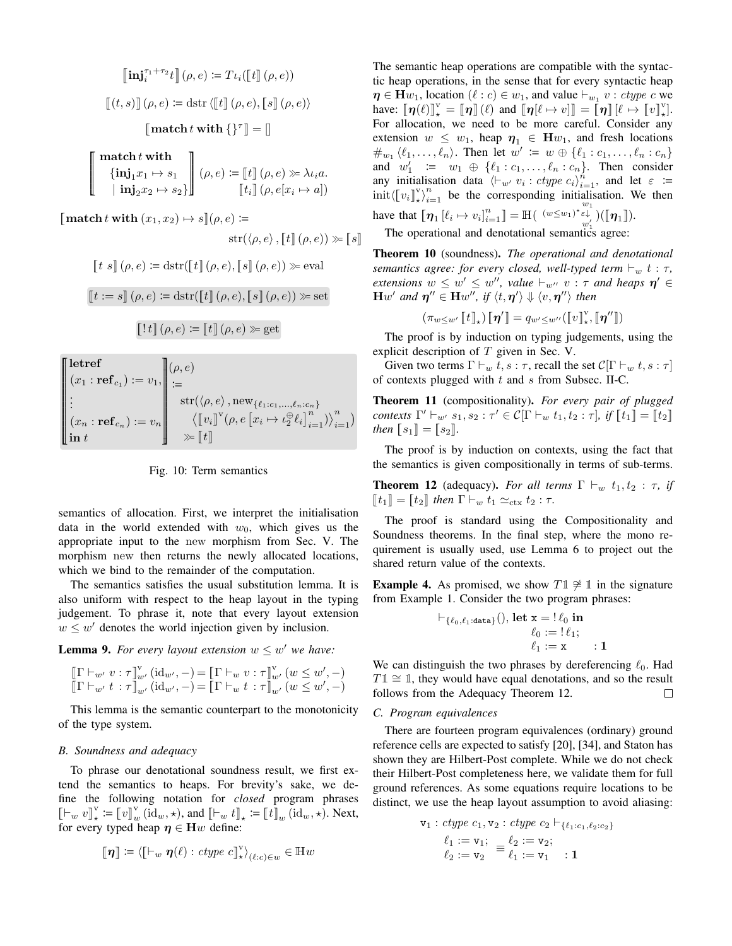$$
\begin{aligned}\n\left[\mathbf{inj}_{i}^{\tau_{1}+\tau_{2}}t\right](\rho,e) &:= T\iota_{i}(\left[\![t]\! \right](\rho,e)) \\
\left[\!\left[t,s\right]\!\right](\rho,e) &:= \text{dstr}\left\langle \left[\!\left[t\right]\!\right](\rho,e),\left[\!\left[s\right]\!\right](\rho,e)\right\rangle \\
\left[\!\left[\text{match}\,t\,\text{with}\,\left\{\right\}^{\tau}\right]\!\right] &= []\n\end{aligned}
$$

**C**  $\mathbf{match}\,t\,\mathbf{with}$  $\{\mathbf{inj}_1x_1 \mapsto s_1$  $|\text{ inj}_2 x_2 \mapsto s_2\}$  $\begin{bmatrix} \phantom{-} \end{bmatrix}$  $(\rho, e) \coloneqq [t] (\rho, e) \gg \lambda \iota_i a.$  $\llbracket t_i \rrbracket \, (\rho, e[x_i \mapsto a])$ 

 $\llbracket \textbf{match}\,t\,\textbf{with}\,(x_1, x_2)\mapsto s\rrbracket(\rho, e)\coloneqq$ 

 $\text{str}(\langle \rho, e \rangle, \llbracket t \rrbracket (\rho, e)) \gg \llbracket s \rrbracket$ 

$$
\llbracket t \ s \rrbracket(\rho, e) \coloneqq \text{dstr}(\llbracket t \rrbracket(\rho, e), \llbracket s \rrbracket(\rho, e)) \gg \text{eval}
$$

 $[t := s](\rho, e) \coloneqq \text{dstr}(\llbracket t \rrbracket (\rho, e), \llbracket s \rrbracket (\rho, e)) \gg \text{set}$ 

$$
\left[\!\left[ \,!\,;t\right]\!\right](\rho,e) \coloneqq \left[\!\left[ \,t\right]\!\right](\rho,e) \gg \gcd
$$

**P** letref  $(x_1 : \text{ref}_{c_1}) := v_1,$ . . .  $(x_n : \mathbf{ref}_{c_n}) := v_n$  $\mathbf{in} \; t$ **CONSUMERING CONSUMER**  $(\rho, e)$  $=$  $\text{str}(\langle\rho, e\rangle\,, \text{new}_{\{\ell_1:c_1,...,\ell_n:c_n\}}$  $\left\langle \llbracket v_i \rrbracket^{\text{v}} (\rho, e \left[ x_i \mapsto \iota_2^{\oplus} \ell_i \right]_{i=1}^n ) \right\rangle_{i=1}^n \right)$  $\gg$   $[t]$ 

Fig. 10: Term semantics

semantics of allocation. First, we interpret the initialisation data in the world extended with  $w_0$ , which gives us the appropriate input to the new morphism from Sec. V. The morphism new then returns the newly allocated locations, which we bind to the remainder of the computation.

The semantics satisfies the usual substitution lemma. It is also uniform with respect to the heap layout in the typing judgement. To phrase it, note that every layout extension  $w \leq w'$  denotes the world injection given by inclusion.

**Lemma 9.** For every layout extension  $w \leq w'$  we have:

$$
\begin{array}{l} \llbracket \Gamma \vdash_{w'} v : \tau \rrbracket_{w'}^{\mathrm{v}} (\mathrm{id}_{w'}, -) = \llbracket \Gamma \vdash_{w} v : \tau \rrbracket_{w'}^{\mathrm{v}} (w \leq w', -) \\ \llbracket \Gamma \vdash_{w'} t : \tau \rrbracket_{w'} (\mathrm{id}_{w'}, -) = \llbracket \Gamma \vdash_{w} t : \tau \rrbracket_{w'} (w \leq w', -) \end{array}
$$

This lemma is the semantic counterpart to the monotonicity of the type system.

# *B. Soundness and adequacy*

To phrase our denotational soundness result, we first extend the semantics to heaps. For brevity's sake, we define the following notation for *closed* program phrases  $\llbracket \vdash_w v \rrbracket_{\star}^{\vee} := \llbracket v \rrbracket_w^{\vee}$  (id<sub>*w*</sub>,  $\star$ ), and  $\llbracket \vdash_w t \rrbracket_{\star} := \llbracket t \rrbracket_w$  (id<sub>*w*</sub>,  $\star$ ). Next, for every typed heap  $\eta \in Hw$  define:

$$
\llbracket \boldsymbol{\eta} \rrbracket \coloneqq \langle \llbracket \vdash_w \boldsymbol{\eta}(\ell) : \text{ctype } c \rrbracket_{\star}^{\mathrm{v}} \rangle_{(\ell:c) \in w} \in \mathbb{H}w
$$

The semantic heap operations are compatible with the syntactic heap operations, in the sense that for every syntactic heap  $\eta \in \mathbf{H} w_1$ , location  $(\ell : c) \in w_1$ , and value  $\vdash_{w_1} v : \text{ctype } c$  we have:  $\llbracket \eta(\ell) \rrbracket_{\star}^{\vee} = \llbracket \eta \rrbracket(\ell)$  and  $\llbracket \eta[\ell \mapsto v] \rrbracket = \llbracket \eta \rrbracket(\ell \mapsto \llbracket v \rrbracket_{\star}^{\vee}$ . For allocation, we need to be more careful. Consider any extension  $w \leq w_1$ , heap  $\eta_1 \in \mathbf{H}w_1$ , and fresh locations  $\#_{w_1} \langle \ell_1, \ldots, \ell_n \rangle$ . Then let  $w' := w \oplus {\ell_1 : c_1, \ldots, \ell_n : c_n}$ and  $w'_1$  :=  $w_1 \oplus {\ell_1 : c_1, \ldots, \ell_n : c_n}$ . Then consider any initialisation data  $\langle \vdash_{w'} v_i : \text{ctype } c_i \rangle_{i=1}^n$ , and let  $\varepsilon :=$  $\text{init}\left\langle \left[\!\left[v_i\right]\!\right]_{i=1}^{\mathbb{V}}\right\rangle_{i=1}^{n}$  be the corresponding initialisation. We then have that  $[\![\eta_1\!][\ell_i \mapsto v_i]^n_{i=1}^n] = \mathbb{H}(\ell_i \otimes w_1) \notin \ell_i$  $_{w_{1}^{\prime}}^{\varepsilon\downarrow}$  )( $\llbracket \boldsymbol{\eta}_1 \rrbracket$ ).

The operational and denotational semantics agree:

Theorem 10 (soundness). *The operational and denotational semantics agree: for every closed, well-typed term*  $\vdash_w t : \tau$ , *extensions*  $w \leq w' \leq w''$ , *value*  $\vdash_{w''} v : \tau$  *and heaps*  $\eta' \in$  $\mathbf{H}w'$  and  $\boldsymbol{\eta}'' \in \mathbf{H}w''$ , if  $\langle t, \boldsymbol{\eta}' \rangle \Downarrow \langle v, \boldsymbol{\eta}'' \rangle$  then

$$
(\pi_{w \leq w'} \llbracket t \rrbracket_{\star}) \, [\![\boldsymbol{\eta}']\!] = q_{w' \leq w''} (\llbracket v \rrbracket_{\star}^{\mathrm{v}}, \llbracket \boldsymbol{\eta}'' \rrbracket)
$$

The proof is by induction on typing judgements, using the explicit description of  $T$  given in Sec. V.

Given two terms  $\Gamma \vdash_w t, s : \tau$ , recall the set  $C[\Gamma \vdash_w t, s : \tau]$ of contexts plugged with  $t$  and  $s$  from Subsec. II-C.

Theorem 11 (compositionality). *For every pair of plugged contexts*  $\Gamma' \vdash_{w'} s_1, s_2 : \tau' \in \mathcal{C}[\Gamma \vdash_w t_1, t_2 : \tau], \text{ if } [\![t_1]\!] = [\![t_2]\!]$ *then*  $[s_1] = [s_2]$ .

The proof is by induction on contexts, using the fact that the semantics is given compositionally in terms of sub-terms.

**Theorem 12** (adequacy). *For all terms*  $\Gamma \vdash_w t_1, t_2 : \tau$ , *if*  $\llbracket t_1 \rrbracket = \llbracket t_2 \rrbracket$  then  $\Gamma \vdash_w t_1 \simeq_{\text{ctx}} t_2 : \tau$ .

The proof is standard using the Compositionality and Soundness theorems. In the final step, where the mono requirement is usually used, use Lemma 6 to project out the shared return value of the contexts.

**Example 4.** As promised, we show  $T1 \not\cong \mathbb{1}$  in the signature from Example 1. Consider the two program phrases:

$$
\vdash_{\{\ell_0,\ell_1:\text{data}\}}(),\text{ let } \mathbf{x} = ! \ell_0 \text{ in } \newline \ell_0 := ! \ell_1; \newline \ell_1 := \mathbf{x} : 1
$$

We can distinguish the two phrases by dereferencing  $\ell_0$ . Had  $T1 \cong 1$ , they would have equal denotations, and so the result follows from the Adequacy Theorem 12. П

### *C. Program equivalences*

There are fourteen program equivalences (ordinary) ground reference cells are expected to satisfy [20], [34], and Staton has shown they are Hilbert-Post complete. While we do not check their Hilbert-Post completeness here, we validate them for full ground references. As some equations require locations to be distinct, we use the heap layout assumption to avoid aliasing:

$$
\mathbf{v}_1: \text{ctype } c_1, \mathbf{v}_2: \text{ctype } c_2 \vdash_{\{\ell_1: c_1, \ell_2: c_2\}} \ell_1 := \mathbf{v}_1; \quad \ell_2 := \mathbf{v}_2; \ell_2 := \mathbf{v}_2 = \ell_1 := \mathbf{v}_1 \quad : \mathbf{1}
$$